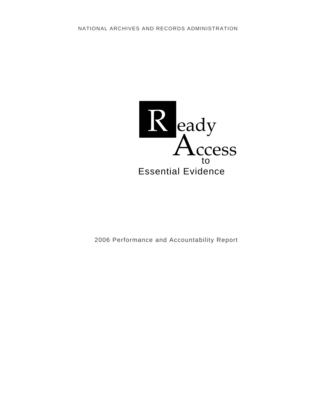

2006 Performance and Accountability Report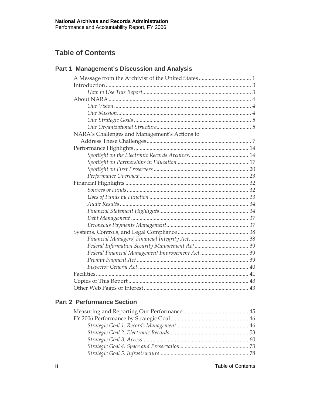# **Table of Contents**

# **Part 1 Management's Discussion and Analysis**

| NARA's Challenges and Management's Actions to |  |
|-----------------------------------------------|--|
|                                               |  |
|                                               |  |
|                                               |  |
|                                               |  |
|                                               |  |
|                                               |  |
|                                               |  |
|                                               |  |
|                                               |  |
|                                               |  |
|                                               |  |
|                                               |  |
|                                               |  |
|                                               |  |
|                                               |  |
|                                               |  |
|                                               |  |
|                                               |  |
|                                               |  |
|                                               |  |
|                                               |  |
|                                               |  |

## **Part 2 Performance Section**

**ii** Table of Contents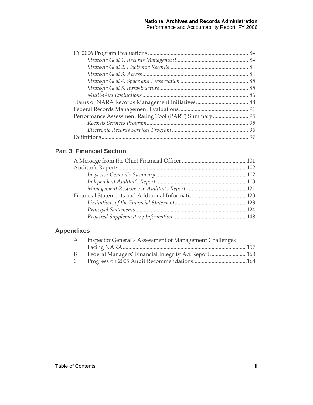## **Part 3 Financial Section**

# **Appendixes**

| <b>Inspector General's Assessment of Management Challenges</b> |  |
|----------------------------------------------------------------|--|
|                                                                |  |
| Federal Managers' Financial Integrity Act Report  160          |  |
|                                                                |  |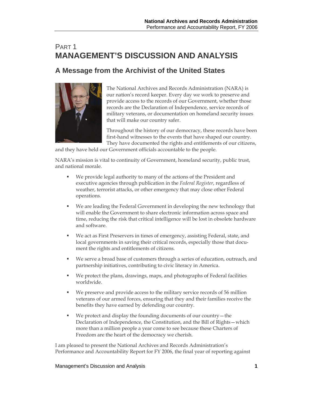# PART 1 **MANAGEMENT'S DISCUSSION AND ANALYSIS**

# **A Message from the Archivist of the United States**



The National Archives and Records Administration (NARA) is our nation's record keeper. Every day we work to preserve and provide access to the records of our Government, whether those records are the Declaration of Independence, service records of military veterans, or documentation on homeland security issues that will make our country safer.

Throughout the history of our democracy, these records have been first-hand witnesses to the events that have shaped our country. They have documented the rights and entitlements of our citizens,

and they have held our Government officials accountable to the people.

NARA's mission is vital to continuity of Government, homeland security, public trust, and national morale.

- We provide legal authority to many of the actions of the President and executive agencies through publication in the *Federal Register*, regardless of weather, terrorist attacks, or other emergency that may close other Federal operations.
- We are leading the Federal Government in developing the new technology that will enable the Government to share electronic information across space and time, reducing the risk that critical intelligence will be lost in obsolete hardware and software.
- We act as First Preservers in times of emergency, assisting Federal, state, and local governments in saving their critical records, especially those that document the rights and entitlements of citizens.
- We serve a broad base of customers through a series of education, outreach, and partnership initiatives, contributing to civic literacy in America.
- We protect the plans, drawings, maps, and photographs of Federal facilities worldwide.
- We preserve and provide access to the military service records of 56 million veterans of our armed forces, ensuring that they and their families receive the benefits they have earned by defending our country.
- We protect and display the founding documents of our country—the Declaration of Independence, the Constitution, and the Bill of Rights—which more than a million people a year come to see because these Charters of Freedom are the heart of the democracy we cherish.

I am pleased to present the National Archives and Records Administration's Performance and Accountability Report for FY 2006, the final year of reporting against

#### Management's Discussion and Analysis **1**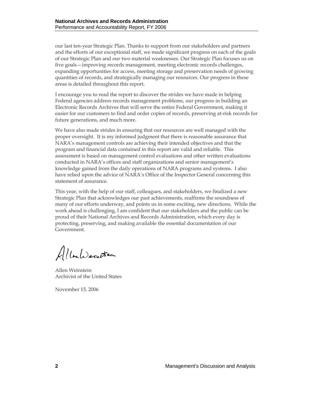our last ten-year Strategic Plan. Thanks to support from our stakeholders and partners and the efforts of our exceptional staff, we made significant progress on each of the goals of our Strategic Plan and our two material weaknesses. Our Strategic Plan focuses us on five goals—improving records management, meeting electronic records challenges, expanding opportunities for access, meeting storage and preservation needs of growing quantities of records, and strategically managing our resources. Our progress in these areas is detailed throughout this report.

I encourage you to read the report to discover the strides we have made in helping Federal agencies address records management problems, our progress in building an Electronic Records Archives that will serve the entire Federal Government, making it easier for our customers to find and order copies of records, preserving at-risk records for future generations, and much more.

We have also made strides in ensuring that our resources are well managed with the proper oversight. It is my informed judgment that there is reasonable assurance that NARA's management controls are achieving their intended objectives and that the program and financial data contained in this report are valid and reliable. This assessment is based on management control evaluations and other written evaluations conducted in NARA's offices and staff organizations and senior management's knowledge gained from the daily operations of NARA programs and systems. I also have relied upon the advice of NARA's Office of the Inspector General concerning this statement of assurance.

This year, with the help of our staff, colleagues, and stakeholders, we finalized a new Strategic Plan that acknowledges our past achievements, reaffirms the soundness of many of our efforts underway, and points us in some exciting, new directions. While the work ahead is challenging, I am confident that our stakeholders and the public can be proud of their National Archives and Records Administration, which every day is protecting, preserving, and making available the essential documentation of our Government.

Albert Secretion

Allen Weinstein Archivist of the United States

November 15, 2006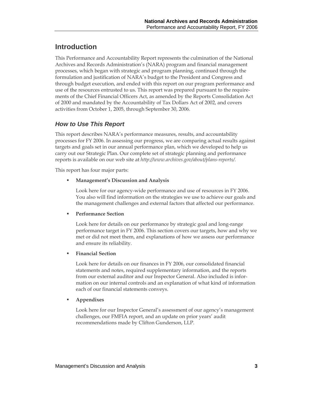# **Introduction**

This Performance and Accountability Report represents the culmination of the National Archives and Records Administration's (NARA) program and financial management processes, which began with strategic and program planning, continued through the formulation and justification of NARA's budget to the President and Congress and through budget execution, and ended with this report on our program performance and use of the resources entrusted to us. This report was prepared pursuant to the requirements of the Chief Financial Officers Act, as amended by the Reports Consolidation Act of 2000 and mandated by the Accountability of Tax Dollars Act of 2002, and covers activities from October 1, 2005, through September 30, 2006.

## *How to Use This Report*

This report describes NARA's performance measures, results, and accountability processes for FY 2006. In assessing our progress, we are comparing actual results against targets and goals set in our annual performance plan, which we developed to help us carry out our Strategic Plan. Our complete set of strategic planning and performance reports is available on our web site at *http://www.archives.gov/about/plans-reports/.* 

This report has four major parts:

**Management's Discussion and Analysis** 

Look here for our agency-wide performance and use of resources in FY 2006. You also will find information on the strategies we use to achieve our goals and the management challenges and external factors that affected our performance.

### **Performance Section**

Look here for details on our performance by strategic goal and long-range performance target in FY 2006. This section covers our targets, how and why we met or did not meet them, and explanations of how we assess our performance and ensure its reliability.

#### **Financial Section**

Look here for details on our finances in FY 2006, our consolidated financial statements and notes, required supplementary information, and the reports from our external auditor and our Inspector General. Also included is information on our internal controls and an explanation of what kind of information each of our financial statements conveys.

#### **Appendixes**

Look here for our Inspector General's assessment of our agency's management challenges, our FMFIA report, and an update on prior years' audit recommendations made by Clifton Gunderson, LLP.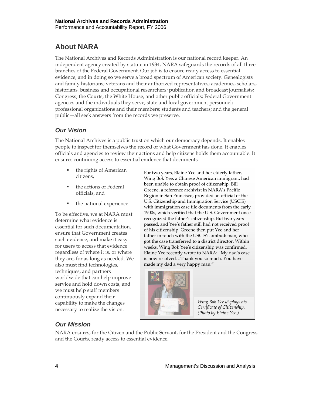# **About NARA**

The National Archives and Records Administration is our national record keeper. An independent agency created by statute in 1934, NARA safeguards the records of all three branches of the Federal Government. Our job is to ensure ready access to essential evidence, and in doing so we serve a broad spectrum of American society. Genealogists and family historians; veterans and their authorized representatives; academics, scholars, historians, business and occupational researchers; publication and broadcast journalists; Congress, the Courts, the White House, and other public officials; Federal Government agencies and the individuals they serve; state and local government personnel; professional organizations and their members; students and teachers; and the general public—all seek answers from the records we preserve.

## *Our Vision*

The National Archives is a public trust on which our democracy depends. It enables people to inspect for themselves the record of what Government has done. It enables officials and agencies to review their actions and help citizens holds them accountable. It ensures continuing access to essential evidence that documents

- the rights of American
- the actions of Federal officials, and
- the national experience.

To be effective, we at NARA must determine what evidence is essential for such documentation, ensure that Government creates such evidence, and make it easy for users to access that evidence regardless of where it is, or where they are, for as long as needed. We also must find technologies, techniques, and partners worldwide that can help improve service and hold down costs, and we must help staff members continuously expand their capability to make the changes necessary to realize the vision.

The rights of American<br>
For two years, Elaine Yee and her elderly father,<br>  $W_{\text{free}}$  Pok Yea a Chinese American immigrant b Wing Bok Yee, a Chinese American immigrant, had been unable to obtain proof of citizenship. Bill Greene, a reference archivist in NARA's Pacific Region in San Francisco, provided an official of the U.S. Citizenship and Immigration Service (USCIS) with immigration case file documents from the early 1900s, which verified that the U.S. Government once recognized the father's citizenship. But two years passed, and Yee's father still had not received proof of his citizenship. Greene then put Yee and her father in touch with the USCIS's ombudsman, who got the case transferred to a district director. Within weeks, Wing Bok Yee's citizenship was confirmed. Elaine Yee recently wrote to NARA: "My dad's case is now resolved…Thank you so much. You have made my dad a very happy man."



*Wing Bok Yee displays his Certificate of Citizenship. (Photo by Elaine Yee.)* 

## *Our Mission*

NARA ensures, for the Citizen and the Public Servant, for the President and the Congress and the Courts, ready access to essential evidence.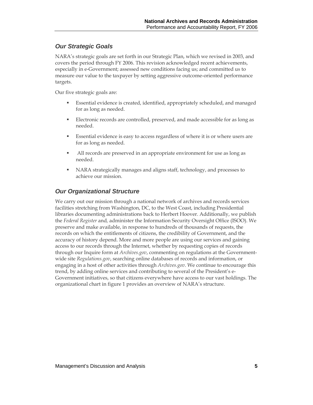## *Our Strategic Goals*

NARA's strategic goals are set forth in our Strategic Plan, which we revised in 2003, and covers the period through FY 2006. This revision acknowledged recent achievements, especially in e-Government; assessed new conditions facing us; and committed us to measure our value to the taxpayer by setting aggressive outcome-oriented performance targets.

Our five strategic goals are:

- Essential evidence is created, identified, appropriately scheduled, and managed for as long as needed.
- Electronic records are controlled, preserved, and made accessible for as long as needed.
- Essential evidence is easy to access regardless of where it is or where users are for as long as needed.
- All records are preserved in an appropriate environment for use as long as needed.
- NARA strategically manages and aligns staff, technology, and processes to achieve our mission.

## *Our Organizational Structure*

We carry out our mission through a national network of archives and records services facilities stretching from Washington, DC, to the West Coast, including Presidential libraries documenting administrations back to Herbert Hoover. Additionally, we publish the *Federal Register* and*,* administer the Information Security Oversight Office (ISOO). We preserve and make available, in response to hundreds of thousands of requests, the records on which the entitlements of citizens, the credibility of Government, and the accuracy of history depend. More and more people are using our services and gaining access to our records through the Internet, whether by requesting copies of records through our Inquire form at *Archives.gov*, commenting on regulations at the Governmentwide site *Regulations.gov*, searching online databases of records and information, or engaging in a host of other activities through *Archives.gov*. We continue to encourage this trend, by adding online services and contributing to several of the President's e-Government initiatives, so that citizens everywhere have access to our vast holdings. The organizational chart in figure 1 provides an overview of NARA's structure.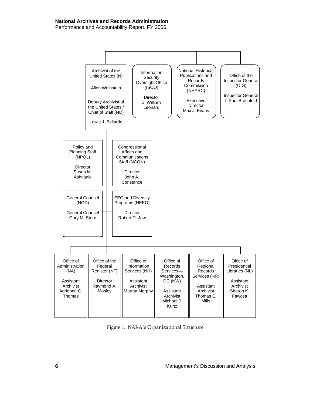

Figure 1. NARA's Organizational Structure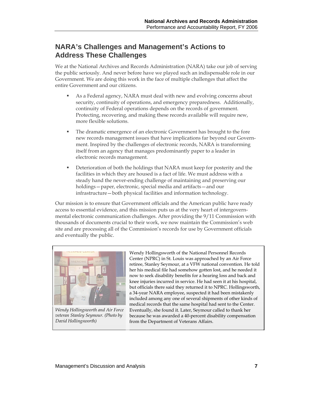## **NARA's Challenges and Management's Actions to Address These Challenges**

We at the National Archives and Records Administration (NARA) take our job of serving the public seriously. And never before have we played such an indispensable role in our Government. We are doing this work in the face of multiple challenges that affect the entire Government and our citizens.

- As a Federal agency, NARA must deal with new and evolving concerns about security, continuity of operations, and emergency preparedness. Additionally, continuity of Federal operations depends on the records of government. Protecting, recovering, and making these records available will require new, more flexible solutions.
- The dramatic emergence of an electronic Government has brought to the fore new records management issues that have implications far beyond our Government. Inspired by the challenges of electronic records, NARA is transforming itself from an agency that manages predominantly paper to a leader in electronic records management.
- **Deterioration of both the holdings that NARA must keep for posterity and the** facilities in which they are housed is a fact of life. We must address with a steady hand the never-ending challenge of maintaining and preserving our holdings—paper, electronic, special media and artifacts—and our infrastructure—both physical facilities and information technology.

Our mission is to ensure that Government officials and the American public have ready access to essential evidence, and this mission puts us at the very heart of intergovernmental electronic communication challenges. After providing the 9/11 Commission with thousands of documents crucial to their work, we now maintain the Commission's web site and are processing all of the Commission's records for use by Government officials and eventually the public.



*Wendy Hollingsworth and Air Force veteran Stanley Seymour. (Photo by David Hollingsworth)* 

Wendy Hollingsworth of the National Personnel Records Center (NPRC) in St. Louis was approached by an Air Force retiree, Stanley Seymour, at a VFW national convention. He told her his medical file had somehow gotten lost, and he needed it now to seek disability benefits for a hearing loss and back and knee injuries incurred in service. He had seen it at his hospital, but officials there said they returned it to NPRC. Hollingsworth, a 34-year NARA employee, suspected it had been mistakenly included among any one of several shipments of other kinds of medical records that the same hospital had sent to the Center. Eventually, she found it. Later, Seymour called to thank her because he was awarded a 40-percent disability compensation from the Department of Veterans Affairs.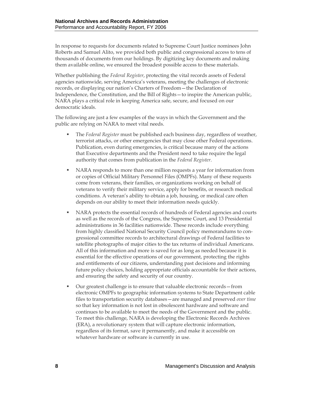In response to requests for documents related to Supreme Court Justice nominees John Roberts and Samuel Alito, we provided both public and congressional access to tens of thousands of documents from our holdings. By digitizing key documents and making them available online, we ensured the broadest possible access to these materials.

Whether publishing the *Federal Register*, protecting the vital records assets of Federal agencies nationwide, serving America's veterans, meeting the challenges of electronic records, or displaying our nation's Charters of Freedom—the Declaration of Independence, the Constitution, and the Bill of Rights—to inspire the American public, NARA plays a critical role in keeping America safe, secure, and focused on our democratic ideals.

The following are just a few examples of the ways in which the Government and the public are relying on NARA to meet vital needs.

- The *Federal Register* must be published each business day, regardless of weather, terrorist attacks, or other emergencies that may close other Federal operations. Publication, even during emergencies, is critical because many of the actions that Executive departments and the President need to take require the legal authority that comes from publication in the *Federal Register*.
- NARA responds to more than one million requests a year for information from or copies of Official Military Personnel Files (OMPFs). Many of these requests come from veterans, their families, or organizations working on behalf of veterans to verify their military service, apply for benefits, or research medical conditions. A veteran's ability to obtain a job, housing, or medical care often depends on our ability to meet their information needs quickly.
- NARA protects the essential records of hundreds of Federal agencies and courts as well as the records of the Congress, the Supreme Court, and 13 Presidential administrations in 36 facilities nationwide. These records include everything from highly classified National Security Council policy memorandums to congressional committee records to architectural drawings of Federal facilities to satellite photographs of major cities to the tax returns of individual Americans. All of this information and more is saved for as long as needed because it is essential for the effective operations of our government, protecting the rights and entitlements of our citizens, understanding past decisions and informing future policy choices, holding appropriate officials accountable for their actions, and ensuring the safety and security of our country.
- Our greatest challenge is to ensure that valuable electronic records—from electronic OMPFs to geographic information systems to State Department cable files to transportation security databases—are managed and preserved *over time* so that key information is not lost in obsolescent hardware and software and continues to be available to meet the needs of the Government and the public. To meet this challenge, NARA is developing the Electronic Records Archives (ERA), a revolutionary system that will capture electronic information, regardless of its format, save it permanently, and make it accessible on whatever hardware or software is currently in use.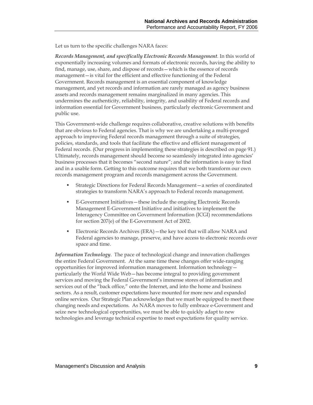Let us turn to the specific challenges NARA faces:

*Records Management, and specifically Electronic Records Management*. In this world of exponentially increasing volumes and formats of electronic records, having the ability to find, manage, use, share, and dispose of records—which is the essence of records management—is vital for the efficient and effective functioning of the Federal Government. Records management is an essential component of knowledge management, and yet records and information are rarely managed as agency business assets and records management remains marginalized in many agencies. This undermines the authenticity, reliability, integrity, and usability of Federal records and information essential for Government business, particularly electronic Government and public use.

This Government-wide challenge requires collaborative, creative solutions with benefits that are obvious to Federal agencies. That is why we are undertaking a multi-pronged approach to improving Federal records management through a suite of strategies, policies, standards, and tools that facilitate the effective and efficient management of Federal records. (Our progress in implementing these strategies is described on page 91.) Ultimately, records management should become so seamlessly integrated into agencies' business processes that it becomes "second nature"; and the information is easy to find and in a usable form. Getting to this outcome requires that we both transform our own records management program and records management across the Government.

- Strategic Directions for Federal Records Management—a series of coordinated strategies to transform NARA's approach to Federal records management.
- E-Government Initiatives—these include the ongoing Electronic Records Management E-Government Initiative and initiatives to implement the Interagency Committee on Government Information (ICGI) recommendations for section 207(e) of the E-Government Act of 2002.
- Electronic Records Archives (ERA)—the key tool that will allow NARA and Federal agencies to manage, preserve, and have access to electronic records over space and time.

*Information Technology*. The pace of technological change and innovation challenges the entire Federal Government. At the same time these changes offer wide-ranging opportunities for improved information management. Information technology particularly the World Wide Web—has become integral to providing government services and moving the Federal Government's immense stores of information and services out of the "back office," onto the Internet, and into the home and business sectors. As a result, customer expectations have mounted for more new and expanded online services. Our Strategic Plan acknowledges that we must be equipped to meet these changing needs and expectations. As NARA moves to fully embrace e-Government and seize new technological opportunities, we must be able to quickly adapt to new technologies and leverage technical expertise to meet expectations for quality service.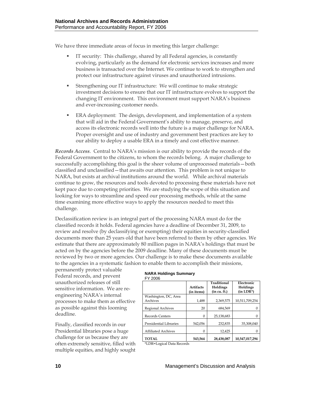We have three immediate areas of focus in meeting this larger challenge:

- IT security: This challenge, shared by all Federal agencies, is constantly evolving, particularly as the demand for electronic services increases and more business is transacted over the Internet. We continue to work to strengthen and protect our infrastructure against viruses and unauthorized intrusions.
- Strengthening our IT infrastructure: We will continue to make strategic investment decisions to ensure that our IT infrastructure evolves to support the changing IT environment. This environment must support NARA's business and ever-increasing customer needs.
- ERA deployment: The design, development, and implementation of a system that will aid in the Federal Government's ability to manage, preserve, and access its electronic records well into the future is a major challenge for NARA. Proper oversight and use of industry and government best practices are key to our ability to deploy a usable ERA in a timely and cost effective manner.

*Records Access*. Central to NARA's mission is our ability to provide the records of the Federal Government to the citizens, to whom the records belong. A major challenge to successfully accomplishing this goal is the sheer volume of unprocessed materials—both classified and unclassified—that awaits our attention. This problem is not unique to NARA, but exists at archival institutions around the world. While archival materials continue to grow, the resources and tools devoted to processing these materials have not kept pace due to competing priorities. We are studying the scope of this situation and looking for ways to streamline and speed our processing methods, while at the same time examining more effective ways to apply the resources needed to meet this challenge.

Declassification review is an integral part of the processing NARA must do for the classified records it holds. Federal agencies have a deadline of December 31, 2009, to review and resolve (by declassifying or exempting) their equities in security-classified documents more than 25 years old that have been referred to them by other agencies. We estimate that there are approximately 80 million pages in NARA's holdings that must be acted on by the agencies before the 2009 deadline. Many of these documents must be reviewed by two or more agencies. Our challenge is to make these documents available to the agencies in a systematic fashion to enable them to accomplish their missions,

permanently protect valuable Federal records, and prevent unauthorized releases of still sensitive information. We are reengineering NARA's internal processes to make them as effective as possible against this looming deadline.

Finally, classified records in our Presidential libraries pose a huge challenge for us because they are often extremely sensitive, filled with multiple equities, and highly sought

#### **NARA Holdings Summary**  FY 2006

|                                  | <b>Artifacts</b><br>(in items) | Traditional<br>Holdings<br>(in cu. ft.) | Electronic<br>Holdings<br>$(in$ LDR* $)$ |
|----------------------------------|--------------------------------|-----------------------------------------|------------------------------------------|
| Washington, DC, Area<br>Archives | 1,488                          | 2,369,575                               | 10,511,709,254                           |
| <b>Regional Archives</b>         | 20                             | 684.569                                 |                                          |
| <b>Records Centers</b>           | 0                              | 25,138,683                              |                                          |
| Presidential Libraries           | 542.056                        | 232,835                                 | 35,308,040                               |
| <b>Affiliated Archives</b>       | 0                              | 12,425                                  |                                          |
| <b>TOTAL</b>                     | 543.564                        | 28,438,087                              | 10,547,017,294                           |

\*LDR=Logical Data Records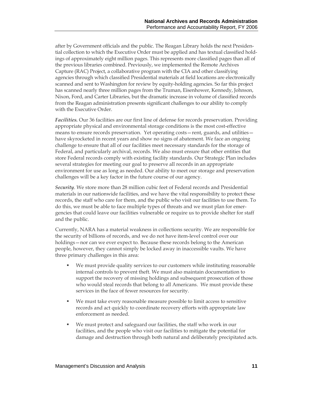after by Government officials and the public. The Reagan Library holds the next Presidential collection to which the Executive Order must be applied and has textual classified holdings of approximately eight million pages. This represents more classified pages than all of the previous libraries combined. Previously, we implemented the Remote Archives Capture (RAC) Project, a collaborative program with the CIA and other classifying agencies through which classified Presidential materials at field locations are electronically scanned and sent to Washington for review by equity-holding agencies. So far this project has scanned nearly three million pages from the Truman, Eisenhower, Kennedy, Johnson, Nixon, Ford, and Carter Libraries, but the dramatic increase in volume of classified records from the Reagan administration presents significant challenges to our ability to comply with the Executive Order.

*Facilities.* Our 36 facilities are our first line of defense for records preservation. Providing appropriate physical and environmental storage conditions is the most cost-effective means to ensure records preservation. Yet operating costs—rent, guards, and utilities have skyrocketed in recent years and show no signs of abatement. We face an ongoing challenge to ensure that all of our facilities meet necessary standards for the storage of Federal, and particularly archival, records. We also must ensure that other entities that store Federal records comply with existing facility standards. Our Strategic Plan includes several strategies for meeting our goal to preserve all records in an appropriate environment for use as long as needed. Our ability to meet our storage and preservation challenges will be a key factor in the future course of our agency.

*Security*. We store more than 28 million cubic feet of Federal records and Presidential materials in our nationwide facilities, and we have the vital responsibility to protect these records, the staff who care for them, and the public who visit our facilities to use them. To do this, we must be able to face multiple types of threats and we must plan for emergencies that could leave our facilities vulnerable or require us to provide shelter for staff and the public.

Currently, NARA has a material weakness in collections security. We are responsible for the security of billions of records, and we do not have item-level control over our holdings—nor can we ever expect to. Because these records belong to the American people, however, they cannot simply be locked away in inaccessible vaults. We have three primary challenges in this area:

- We must provide quality services to our customers while instituting reasonable internal controls to prevent theft. We must also maintain documentation to support the recovery of missing holdings and subsequent prosecution of those who would steal records that belong to all Americans. We must provide these services in the face of fewer resources for security.
- We must take every reasonable measure possible to limit access to sensitive records and act quickly to coordinate recovery efforts with appropriate law enforcement as needed.
- We must protect and safeguard our facilities, the staff who work in our facilities, and the people who visit our facilities to mitigate the potential for damage and destruction through both natural and deliberately precipitated acts.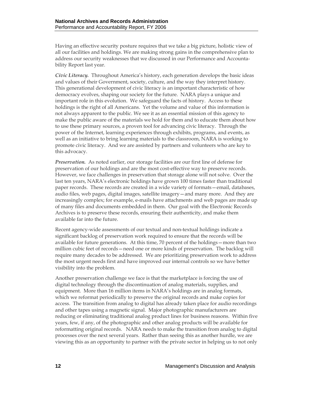Having an effective security posture requires that we take a big picture, holistic view of all our facilities and holdings. We are making strong gains in the comprehensive plan to address our security weaknesses that we discussed in our Performance and Accountability Report last year.

*Civic Literacy.*Throughout America's history, each generation develops the basic ideas and values of their Government, society, culture, and the way they interpret history. This generational development of civic literacy is an important characteristic of how democracy evolves, shaping our society for the future. NARA plays a unique and important role in this evolution. We safeguard the facts of history. Access to these holdings is the right of all Americans. Yet the volume and value of this information is not always apparent to the public. We see it as an essential mission of this agency to make the public aware of the materials we hold for them and to educate them about how to use these primary sources, a proven tool for advancing civic literacy. Through the power of the Internet, learning experiences through exhibits, programs, and events, as well as an initiative to bring learning materials to the classroom, NARA is working to promote civic literacy. And we are assisted by partners and volunteers who are key to this advocacy.

*Preservation.* As noted earlier, our storage facilities are our first line of defense for preservation of our holdings and are the most cost-effective way to preserve records. However, we face challenges in preservation that storage alone will not solve. Over the last ten years, NARA's electronic holdings have grown 100 times faster than traditional paper records. These records are created in a wide variety of formats—email, databases, audio files, web pages, digital images, satellite imagery—and many more. And they are increasingly complex; for example, e-mails have attachments and web pages are made up of many files and documents embedded in them. Our goal with the Electronic Records Archives is to preserve these records, ensuring their authenticity, and make them available far into the future.

Recent agency-wide assessments of our textual and non-textual holdings indicate a significant backlog of preservation work required to ensure that the records will be available for future generations. At this time, 70 percent of the holdings—more than two million cubic feet of records—need one or more kinds of preservation. The backlog will require many decades to be addressed. We are prioritizing preservation work to address the most urgent needs first and have improved our internal controls so we have better visibility into the problem.

Another preservation challenge we face is that the marketplace is forcing the use of digital technology through the discontinuation of analog materials, supplies, and equipment. More than 16 million items in NARA's holdings are in analog formats, which we reformat periodically to preserve the original records and make copies for access. The transition from analog to digital has already taken place for audio recordings and other tapes using a magnetic signal. Major photographic manufacturers are reducing or eliminating traditional analog product lines for business reasons. Within five years, few, if any, of the photographic and other analog products will be available for reformatting original records. NARA needs to make the transition from analog to digital processes over the next several years. Rather than seeing this as another hurdle, we are viewing this as an opportunity to partner with the private sector in helping us to not only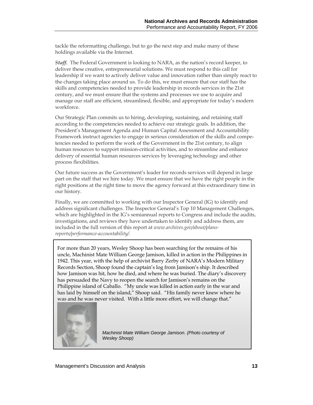tackle the reformatting challenge, but to go the next step and make many of these holdings available via the Internet.

*Staff.* The Federal Government is looking to NARA, as the nation's record keeper, to deliver these creative, entrepreneurial solutions. We must respond to this call for leadership if we want to actively deliver value and innovation rather than simply react to the changes taking place around us. To do this, we must ensure that our staff has the skills and competencies needed to provide leadership in records services in the 21st century, and we must ensure that the systems and processes we use to acquire and manage our staff are efficient, streamlined, flexible, and appropriate for today's modern workforce.

Our Strategic Plan commits us to hiring, developing, sustaining, and retaining staff according to the competencies needed to achieve our strategic goals. In addition, the President's Management Agenda and Human Capital Assessment and Accountability Framework instruct agencies to engage in serious consideration of the skills and competencies needed to perform the work of the Government in the 21st century, to align human resources to support mission-critical activities, and to streamline and enhance delivery of essential human resources services by leveraging technology and other process flexibilities.

Our future success as the Government's leader for records services will depend in large part on the staff that we hire today. We must ensure that we have the right people in the right positions at the right time to move the agency forward at this extraordinary time in our history.

Finally, we are committed to working with our Inspector General (IG) to identify and address significant challenges. The Inspector General's Top 10 Management Challenges, which are highlighted in the IG's semiannual reports to Congress and include the audits, investigations, and reviews they have undertaken to identify and address them, are included in the full version of this report at *www.archives.gov/about/plansreports/performance-accountability/.* 

For more than 20 years, Wesley Shoop has been searching for the remains of his uncle, Machinist Mate William George Jamison, killed in action in the Philippines in 1942. This year, with the help of archivist Barry Zerby of NARA's Modern Military Records Section, Shoop found the captain's log from Jamison's ship. It described how Jamison was hit, how he died, and where he was buried. The diary's discovery has persuaded the Navy to reopen the search for Jamison's remains on the Philippine island of Caballo. "My uncle was killed in action early in the war and has laid by himself on the island," Shoop said. "His family never knew where he was and he was never visited. With a little more effort, we will change that."



*Machinist Mate William George Jamison. (Photo courtesy of Wesley Shoop)*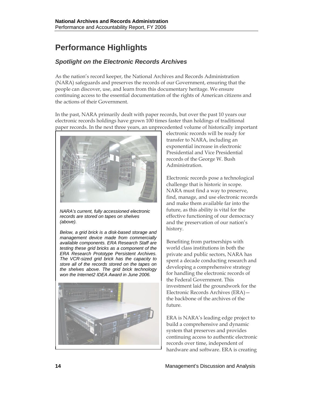# **Performance Highlights**

## *Spotlight on the Electronic Records Archives*

As the nation's record keeper, the National Archives and Records Administration (NARA) safeguards and preserves the records of our Government, ensuring that the people can discover, use, and learn from this documentary heritage. We ensure continuing access to the essential documentation of the rights of American citizens and the actions of their Government.

In the past, NARA primarily dealt with paper records, but over the past 10 years our electronic records holdings have grown 100 times faster than holdings of traditional paper records. In the next three years, an unprecedented volume of historically important



*NARA's current, fully accessioned electronic records are stored on tapes on shelves (above).* 

*Below, a grid brick is a disk-based storage and management device made from commercially available components. ERA Research Staff are testing these grid bricks as a component of the ERA Research Prototype Persistent Archives. The VCR-sized grid brick has the capacity to store all of the records stored on the tapes on the shelves above. The grid brick technology won the Internet2 IDEA Award in June 2006.* 



electronic records will be ready for transfer to NARA, including an exponential increase in electronic Presidential and Vice Presidential records of the George W. Bush Administration.

Electronic records pose a technological challenge that is historic in scope. NARA must find a way to preserve, find, manage, and use electronic records and make them available far into the future, as this ability is vital for the effective functioning of our democracy and the preservation of our nation's history.

Benefiting from partnerships with world class institutions in both the private and public sectors, NARA has spent a decade conducting research and developing a comprehensive strategy for handling the electronic records of the Federal Government. This investment laid the groundwork for the Electronic Records Archives (ERA) the backbone of the archives of the future.

ERA is NARA's leading edge project to build a comprehensive and dynamic system that preserves and provides continuing access to authentic electronic records over time, independent of hardware and software. ERA is creating

**14** Management's Discussion and Analysis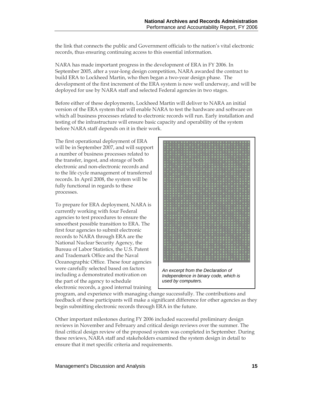the link that connects the public and Government officials to the nation's vital electronic records, thus ensuring continuing access to this essential information.

NARA has made important progress in the development of ERA in FY 2006. In September 2005, after a year-long design competition, NARA awarded the contract to build ERA to Lockheed Martin, who then began a two-year design phase. The development of the first increment of the ERA system is now well underway, and will be deployed for use by NARA staff and selected Federal agencies in two stages.

Before either of these deployments, Lockheed Martin will deliver to NARA an initial version of the ERA system that will enable NARA to test the hardware and software on which all business processes related to electronic records will run. Early installation and testing of the infrastructure will ensure basic capacity and operability of the system before NARA staff depends on it in their work.

The first operational deployment of ERA will be in September 2007, and will support a number of business processes related to the transfer, ingest, and storage of both electronic and non-electronic records and to the life cycle management of transferred records. In April 2008, the system will be fully functional in regards to these processes.

To prepare for ERA deployment, NARA is currently working with four Federal agencies to test procedures to ensure the smoothest possible transition to ERA. The first four agencies to submit electronic records to NARA through ERA are the National Nuclear Security Agency, the Bureau of Labor Statistics, the U.S. Patent and Trademark Office and the Naval Oceanographic Office. These four agencies were carefully selected based on factors including a demonstrated motivation on the part of the agency to schedule electronic records, a good internal training



program, and experience with managing change successfully. The contributions and feedback of these participants will make a significant difference for other agencies as they begin submitting electronic records through ERA in the future.

Other important milestones during FY 2006 included successful preliminary design reviews in November and February and critical design reviews over the summer. The final critical design review of the proposed system was completed in September. During these reviews, NARA staff and stakeholders examined the system design in detail to ensure that it met specific criteria and requirements.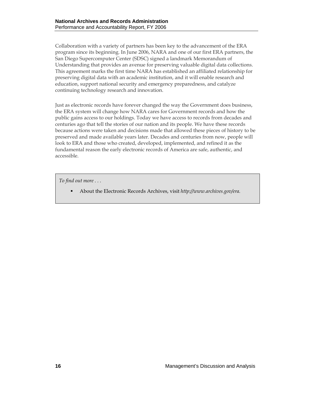Collaboration with a variety of partners has been key to the advancement of the ERA program since its beginning. In June 2006, NARA and one of our first ERA partners, the San Diego Supercomputer Center (SDSC) signed a landmark Memorandum of Understanding that provides an avenue for preserving valuable digital data collections. This agreement marks the first time NARA has established an affiliated relationship for preserving digital data with an academic institution, and it will enable research and education, support national security and emergency preparedness, and catalyze continuing technology research and innovation.

Just as electronic records have forever changed the way the Government does business, the ERA system will change how NARA cares for Government records and how the public gains access to our holdings. Today we have access to records from decades and centuries ago that tell the stories of our nation and its people. We have these records because actions were taken and decisions made that allowed these pieces of history to be preserved and made available years later. Decades and centuries from now, people will look to ERA and those who created, developed, implemented, and refined it as the fundamental reason the early electronic records of America are safe, authentic, and accessible.

*To find out more . . .* 

About the Electronic Records Archives, visit *http://www.archives.gov/era.*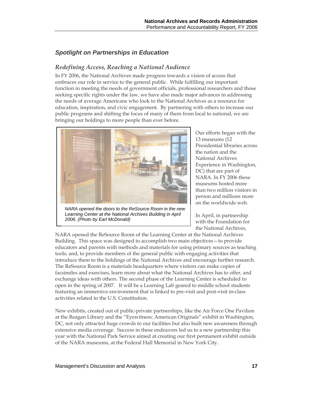## *Spotlight on Partnerships in Education*

### *Redefining Access, Reaching a National Audience*

In FY 2006, the National Archives made progress towards a vision of access that embraces our role in service to the general public. While fulfilling our important function in meeting the needs of government officials, professional researchers and those seeking specific rights under the law, we have also made major advances in addressing the needs of average Americans who look to the National Archives as a resource for education, inspiration, and civic engagement. By partnering with others to increase our public programs and shifting the focus of many of them from local to national, we are bringing our holdings to more people than ever before.



*NARA opened the doors to the ReSource Room in the new Learning Center at the National Archives Building in April 2006. (Photo by Earl McDonald)* 

Our efforts began with the 13 museums (12 Presidential libraries across the nation and the National Archives Experience in Washington, DC) that are part of NARA. In FY 2006 these museums hosted more than two million visitors in person and millions more on the worldwide web.

In April, in partnership with the Foundation for the National Archives,

NARA opened the ReSource Room of the Learning Center at the National Archives Building. This space was designed to accomplish two main objectives—to provide educators and parents with methods and materials for using primary sources as teaching tools; and, to provide members of the general public with engaging activities that introduce them to the holdings of the National Archives and encourage further research. The ReSource Room is a materials headquarters where visitors can make copies of facsimiles and exercises, learn more about what the National Archives has to offer, and exchange ideas with others. The second phase of the Learning Center is scheduled to open in the spring of 2007. It will be a Learning Lab geared to middle school students featuring an immersive environment that is linked to pre-visit and post-visit in-class activities related to the U.S. Constitution.

New exhibits, created out of public-private partnerships, like the Air Force One Pavilion at the Reagan Library and the "Eyewitness: American Originals" exhibit in Washington, DC, not only attracted huge crowds to our facilities but also built new awareness through extensive media coverage. Success in these endeavors led us to a new partnership this year with the National Park Service aimed at creating our first permanent exhibit outside of the NARA museums, at the Federal Hall Memorial in New York City.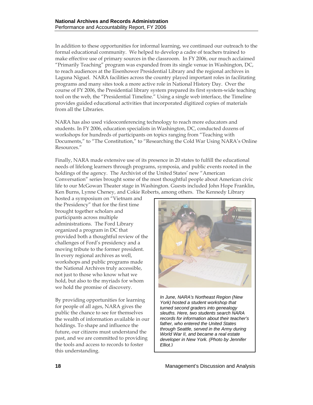In addition to these opportunities for informal learning, we continued our outreach to the formal educational community. We helped to develop a cadre of teachers trained to make effective use of primary sources in the classroom. In FY 2006, our much acclaimed "Primarily Teaching" program was expanded from its single venue in Washington, DC, to reach audiences at the Eisenhower Presidential Library and the regional archives in Laguna Niguel. NARA facilities across the country played important roles in facilitating programs and many sites took a more active role in National History Day. Over the course of FY 2006, the Presidential library system prepared its first system-wide teaching tool on the web, the "Presidential Timeline." Using a single web interface, the Timeline provides guided educational activities that incorporated digitized copies of materials from all the Libraries.

NARA has also used videoconferencing technology to reach more educators and students. In FY 2006, education specialists in Washington, DC, conducted dozens of workshops for hundreds of participants on topics ranging from "Teaching with Documents," to "The Constitution," to "Researching the Cold War Using NARA's Online Resources."

Finally, NARA made extensive use of its presence in 20 states to fulfill the educational needs of lifelong learners through programs, symposia, and public events rooted in the holdings of the agency. The Archivist of the United States' new "American Conversation" series brought some of the most thoughtful people about American civic life to our McGowan Theater stage in Washington. Guests included John Hope Franklin, Ken Burns, Lynne Cheney, and Cokie Roberts, among others. The Kennedy Library

hosted a symposium on "Vietnam and the Presidency" that for the first time brought together scholars and participants across multiple administrations. The Ford Library organized a program in DC that provided both a thoughtful review of the challenges of Ford's presidency and a moving tribute to the former president. In every regional archives as well, workshops and public programs made the National Archives truly accessible, not just to those who know what we hold, but also to the myriads for whom we hold the promise of discovery.

By providing opportunities for learning for people of all ages, NARA gives the public the chance to see for themselves the wealth of information available in our holdings. To shape and influence the future, our citizens must understand the past, and we are committed to providing the tools and access to records to foster this understanding.



*In June, NARA's Northeast Region (New York) hosted a student workshop that turned second graders into genealogy sleuths. Here, two students search NARA records for information about their teacher's father, who entered the United States through Seattle, served in the Army during World War II, and became a real estate developer in New York. (Photo by Jennifer Elliot. )*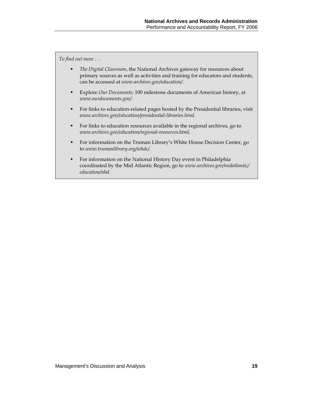*To find out more . . .* 

- *The Digital Classroom*, the National Archives gateway for resources about primary sources as well as activities and training for educators and students, can be accessed at *www.archives.gov/education/.*
- Explore *Our Documents,* 100 milestone documents of American history, at *www.ourdocuments.gov/.*
- For links to education-related pages hosted by the Presidential libraries, visit *www.archives.gov/education/presidential-libraries.html*.
- For links to education resources available in the regional archives, go to *www.archives.gov/education/regional-resources.html.*
- For information on the Truman Library's White House Decision Center, go to *[www.trumanlibrary.org/whdc/](http://www.trumanlibrary.org/whdc/).*
- For information on the National History Day event in Philadelphia coordinated by the Mid Atlantic Region, go to *www.archives.gov/midatlantic/ education/nhd*.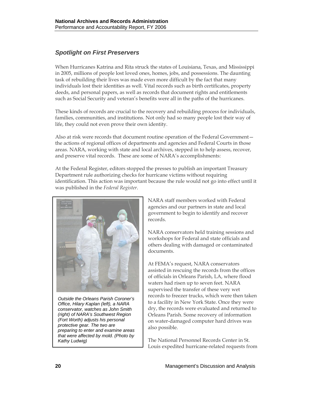## *Spotlight on First Preservers*

When Hurricanes Katrina and Rita struck the states of Louisiana, Texas, and Mississippi in 2005, millions of people lost loved ones, homes, jobs, and possessions. The daunting task of rebuilding their lives was made even more difficult by the fact that many individuals lost their identities as well. Vital records such as birth certificates, property deeds, and personal papers, as well as records that document rights and entitlements such as Social Security and veteran's benefits were all in the paths of the hurricanes.

These kinds of records are crucial to the recovery and rebuilding process for individuals, families, communities, and institutions. Not only had so many people lost their way of life, they could not even prove their own identity.

Also at risk were records that document routine operation of the Federal Government the actions of regional offices of departments and agencies and Federal Courts in those areas. NARA, working with state and local archives, stepped in to help assess, recover, and preserve vital records. These are some of NARA's accomplishments:

At the Federal Register, editors stopped the presses to publish an important Treasury Department rule authorizing checks for hurricane victims without requiring identification. This action was important because the rule would not go into effect until it was published in the *Federal Register*.



*Outside the Orleans Parish Coroner's Office, Hilary Kaplan (left), a NARA conservator, watches as John Smith (right) of NARA's Southwest Region (Fort Worth) adjusts his personal protective gear. The two are preparing to enter and examine areas that were affected by mold. (Photo by* 

NARA staff members worked with Federal agencies and our partners in state and local government to begin to identify and recover records.

NARA conservators held training sessions and workshops for Federal and state officials and others dealing with damaged or contaminated documents.

At FEMA's request, NARA conservators assisted in rescuing the records from the offices of officials in Orleans Parish, LA, where flood waters had risen up to seven feet. NARA supervised the transfer of these very wet records to freezer trucks, which were then taken to a facility in New York State. Once they were dry, the records were evaluated and returned to Orleans Parish. Some recovery of information on water-damaged computer hard drives was also possible.

*Kathy Ludwig)* The National Personnel Records Center in St. Louis expedited hurricane-related requests from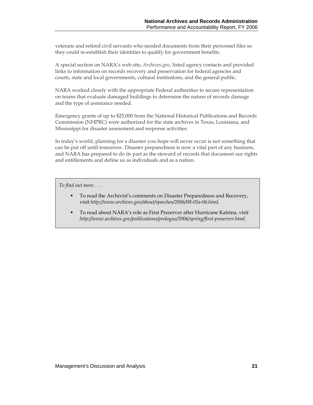veterans and retired civil servants who needed documents from their personnel files so they could re-establish their identities to qualify for government benefits.

A special section on NARA's web site, *Archives.gov*, listed agency contacts and provided links to information on records recovery and preservation for federal agencies and courts, state and local governments, cultural institutions, and the general public.

NARA worked closely with the appropriate Federal authorities to secure representation on teams that evaluate damaged buildings to determine the nature of records damage and the type of assistance needed.

Emergency grants of up to \$25,000 from the National Historical Publications and Records Commission (NHPRC) were authorized for the state archives in Texas, Louisiana, and Mississippi for disaster assessment and response activities.

In today's world, planning for a disaster you hope will never occur is not something that can be put off until tomorrow. Disaster preparedness is now a vital part of any business, and NARA has prepared to do its part as the steward of records that document our rights and entitlements and define us as individuals and as a nation.

*To find out more . . .* 

- To read the Archivist's comments on Disaster Preparedness and Recovery, visit *http://www.archives.gov/about/speeches/2006/08-05a-06.html.*
- To read about NARA's role as First Preserver after Hurricane Katrina, visit *http://www.archives.gov/publications/prologue/2006/spring/first-preserver.html.*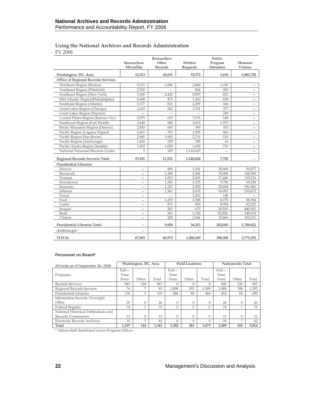### **Using the National Archives and Records Administration**  FY 2006

|                                            | <b>Researchers</b><br>Microfilm | Researchers<br>Other<br><b>Records</b> | Written<br>Requests | Public<br>Program<br><b>Attendees</b> | Museum<br><b>Visitors</b> |
|--------------------------------------------|---------------------------------|----------------------------------------|---------------------|---------------------------------------|---------------------------|
| Washington, DC, Area                       | 14,312                          | 45,631                                 | 35,372              | 1,834                                 | 1,003,730                 |
| <b>Office of Regional Records Services</b> |                                 |                                        |                     |                                       |                           |
| Northeast Region (Boston)                  | 9,131                           | 1,006                                  | 2,840               | 1,109                                 |                           |
| Northeast Region (Pittsfield)              | 2,530                           |                                        | 864                 | 356                                   | -                         |
| Northeast Region (New York)                | 7,656                           | 2,420                                  | 5,897               | 821                                   | —                         |
| Mid Atlantic Region(Philadelphia)          | 6,608                           | 475                                    | 1,263               | 638                                   |                           |
| Southeast Region (Atlanta)                 | 5,177                           | 821                                    | 2,295               | 346                                   | —                         |
| Great Lakes Region (Chicago)               | 2,443                           | 542                                    | 3,721               | 377                                   |                           |
| Great Lakes Region (Dayton)                |                                 |                                        |                     | 229                                   |                           |
| Central Plains Region (Kansas City)        | 2,075                           | 635                                    | 3,176               | 148                                   | —                         |
| Southwest Region (Fort Worth)              | 3,649                           | 906                                    | 2,833               | 1,579                                 | $\overline{\phantom{0}}$  |
| Rocky Mountain Region (Denver)             | 2,843                           | 665                                    | 369                 | 353                                   | —                         |
| Pacific Region (Laguna Niguel)             | 3,411                           | 701                                    | 1,995               | 466                                   | —                         |
| Pacific Region (San Bruno)                 | 2,941                           | 1,692                                  | 2,711               | 532                                   | $\overline{\phantom{0}}$  |
| Pacific Region (Anchorage)                 | 1,410                           | 529                                    | 395                 | 16                                    | -                         |
| Pacific Alaska Region (Seattle)            | 3,302                           | 1,020                                  | 1,638               | 732                                   | -                         |
| National Personnel Records Center          | 5                               | 109                                    | 1,110,627           |                                       |                           |
| <b>Regional Records Services Total</b>     | 53,181                          | 11,521                                 | 1,140,624           | 7,702                                 |                           |
| <b>Presidential Libraries</b>              |                                 |                                        |                     |                                       |                           |
| Hoover                                     | $\overline{\phantom{0}}$        | 495                                    | 1,241               | 26,660                                | 50,077                    |
| Roosevelt                                  |                                 | 1,389                                  | 2,548               | 10,306                                | 108,589                   |
| Truman                                     |                                 | 1,013                                  | 2,601               | 17,446                                | 135,316                   |
| Eisenhower                                 | —                               | 1.343                                  | 3.325               | 9.796                                 | 69.248                    |
| Kennedy                                    | $\overline{\phantom{0}}$        | 1,227                                  | 2,052               | 25,654                                | 191,986                   |
| <b>Johnson</b>                             |                                 | 1,361                                  | 2,635               | 16,951                                | 210,473                   |
| Nixon                                      | -                               |                                        | 1,833               | 100                                   |                           |
| Ford                                       |                                 | 1.270                                  | 2,388               | 8,775                                 | 58,784                    |
| Carter                                     |                                 | 571                                    | 853                 | 8,954                                 | 62,223                    |
| Reagan                                     | —                               | 562                                    | 675                 | 20,515                                | 440,301                   |
| Bush                                       | $\overline{\phantom{0}}$        | 361                                    | 1,156               | 33,020,                               | 140,674                   |
| Clinton                                    | -                               | 228                                    | 2,946               | 23,866                                | 302,151                   |
| <b>Presidential Libraries Total</b>        | -                               | 9.820                                  | 24,253              | 202,043                               | 1,769,822                 |
| Archives.gov                               |                                 |                                        |                     |                                       |                           |
| <b>TOTAL</b>                               | 67,493                          | 66,972                                 | 1,200,249           | 388,304                               | 2,773,552                 |

#### **Personnel on Board\***

| All funds as of September 30, 2006    |          | Washington, DC, Area<br><b>Field Locations</b> |       |                         |          | Nationwide Total |                        |       |       |
|---------------------------------------|----------|------------------------------------------------|-------|-------------------------|----------|------------------|------------------------|-------|-------|
|                                       | $Full -$ |                                                |       | $FU$ <sub>11</sub> $IU$ |          |                  | $FU$ <sub>11</sub> $-$ |       |       |
| Programs                              | Time     |                                                |       | Time                    |          |                  | Time                   |       |       |
|                                       | Perm     | Other                                          | Total | Perm                    | Other    | Total            | Perm                   | Other | Total |
| Records Services                      | 843      | 124                                            | 967   |                         | 0        | $\Omega$         | 843                    | 124   | 967   |
| Regional Records Services             | 76       | $\overline{ }$                                 | 83    | 1.008                   | 301      | 1.309            | 1.084                  | 308   | 1,392 |
| Presidential Libraries                | 130      | 5                                              | 135   | 284                     | 80       | 364              | 414                    | 85    | 499   |
| <b>Information Security Oversight</b> |          |                                                |       |                         |          |                  |                        |       |       |
| Office                                | 26       | $\Omega$                                       | 26    | $\Omega$                | $\Omega$ | $\Omega$         | 26                     | 0     | 26    |
| Federal Register                      | 74       |                                                | 75    |                         | $\Omega$ | $\Omega$         | 74                     | 1     | 75    |
| National Historical Publications and  |          |                                                |       |                         |          |                  |                        |       |       |
| Records Commission                    | 13       | 0                                              | 13    |                         | $\Omega$ | $\Omega$         | 13                     | 0     | 13    |
| Electronic Records Archives           | 35       | $\overline{7}$                                 | 42    |                         | $\Omega$ |                  | 35                     | 7     | 42    |
| Total                                 | 1.197    | 144                                            | 1.341 | 1.292                   | 381      | 1.673            | 2.489                  | 525   | 3.014 |

\* Admin Staff distributed across Program Offices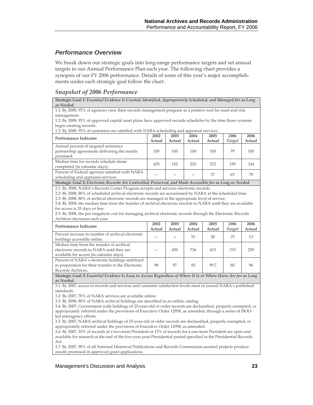### *Performance Overview*

We break down our strategic goals into long-range performance targets and set annual targets in our Annual Performance Plan each year. The following chart provides a synopsis of our FY 2006 performance. Details of some of this year's major accomplishments under each strategic goal follow the chart.

### *Snapshot of 2006 Performance*

**Strategic Goal 1:** *Essential Evidence Is Created, Identified, Appropriately Scheduled, and Managed for as Long as Needed.*

1.1: By 2008, 95% of agencies view their records management program as a positive tool for asset and risk management.

1.2: By 2008, 95% of approved capital asset plans have approved records schedules by the time those systems begin creating records.

| 1.3: By 2008, 95% of customers are satisfied with NARA scheduling and appraisal services. |
|-------------------------------------------------------------------------------------------|

| Performance Indicator                           | 2002   | 2003   | 2004   | 2005   | 2006   | 2006   |
|-------------------------------------------------|--------|--------|--------|--------|--------|--------|
|                                                 | Actual | Actual | Actual | Actual | Target | Actual |
| Annual percent of targeted assistance           |        |        |        |        |        |        |
| partnership agreements delivering the results   | 100    | 100    | 100    | 100    | 99     | 100    |
| promised.                                       |        |        |        |        |        |        |
| Median time for records schedule items          | 470    | 155    | 253    | 372    | 180    | 334    |
| completed (in calendar days).                   |        |        |        |        |        |        |
| Percent of Federal agencies satisfied with NARA |        |        |        | 57     |        | 78     |
| scheduling and appraisal services.              |        |        |        |        | 63     |        |

**Strategic Goal 2:** *Electronic Records Are Controlled, Preserved, and Made Accessible for as Long as Needed.*

2.1: By 2008, NARA's Records Center Program accepts and services electronic records.

2.2: By 2008, 80% of scheduled archival electronic records are accessioned by NARA at the scheduled time.

2.3: By 2008, 80% of archival electronic records are managed at the appropriate level of service.

2.4: By 2008, the median time from the transfer of archival electronic records to NARA until they are available for access is 35 days or less.

2.5: By 2008, the per megabyte cost for managing archival electronic records through the Electronic Records Archives decreases each year.

| Performance Indicator                                                                                                              | 2002<br>Actual | 2003<br>Actual | 2004<br>Actual | 2005<br>Actual | 2006<br><b>Target</b> | 2006<br>Actual |
|------------------------------------------------------------------------------------------------------------------------------------|----------------|----------------|----------------|----------------|-----------------------|----------------|
| Percent increase in number of archival electronic<br>holdings accessible online.                                                   |                |                | 51             | 20             | 20                    | 13             |
| Median time from the transfer of archival<br>electronic records to NARA until they are<br>available for access (in calendar days). |                | 450            | 736            | 413            | 250                   | 259            |
| Percent of NARA's electronic holdings stabilized<br>in preparation for their transfer to the Electronic<br>Records Archives.       | 98             | 97             | 93             | 997            | 80                    | 96             |

**Strategic Goal 3:** *Essential Evidence Is Easy to Access Regardless of Where It Is or Where Users Are for as Long as Needed.* 

3.1: By 2007, access to records and services and customer satisfaction levels meet or exceed NARA's published standards.

3.2: By 2007, 70% of NARA services are available online.

3.3: By 2008, 80% of NARA archival holdings are described in an online catalog.

3.4: By 2007, Government-wide holdings of 25-year-old or order records are declassified, properly exempted, or appropriately referred under the provisions of Executive Order 12958, as amended, through a series of ISOOled interagency efforts.

3.5: By 2007, NARA archival holdings of 25-year-old or older records are declassified, properly exempted, or appropriately referred under the provisions of Executive Order 12958, as amended.

3.6: By 2007, 10% of records of a two-term President or 15% of records for a one-term President are open and available for research at the end of the five-year post-Presidential period specified in the Presidential Records Act.

3.7: By 2007, 90% of all National Historical Publications and Records Commission-assisted projects produce results promised in approved grant applications.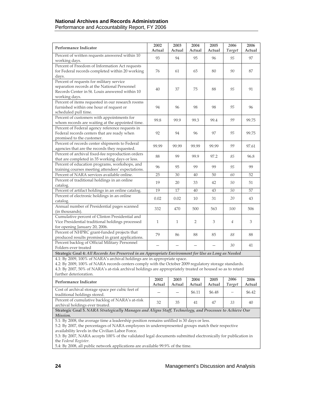### **National Archives and Records Administration**  Performance and Accountability Report, FY 2006

| Performance Indicator                                                                                                               | 2002<br>Actual | 2003<br>Actual | 2004<br>Actual | 2005<br>Actual | 2006<br><b>Target</b> | 2006<br>Actual     |
|-------------------------------------------------------------------------------------------------------------------------------------|----------------|----------------|----------------|----------------|-----------------------|--------------------|
| Percent of written requests answered within 10                                                                                      |                |                |                |                |                       | 97                 |
| working days.                                                                                                                       | 93             | 94             | 95             | 96             | 95                    |                    |
| Percent of Freedom of Information Act requests                                                                                      |                |                |                |                |                       |                    |
| for Federal records completed within 20 working                                                                                     | 76             | 61             | 65             | 80             | 90                    | 87                 |
| days.                                                                                                                               |                |                |                |                |                       |                    |
| Percent of requests for military service                                                                                            |                |                |                |                |                       |                    |
| separation records at the National Personnel                                                                                        | 40             | 37             | 75             | 88             | 95                    | 91                 |
| Records Center in St. Louis answered within 10                                                                                      |                |                |                |                |                       |                    |
| working days.                                                                                                                       |                |                |                |                |                       |                    |
| Percent of items requested in our research rooms                                                                                    |                |                |                |                |                       |                    |
| furnished within one hour of request or                                                                                             | 94             | 96             | 98             | 98             | 95                    | 96                 |
| scheduled pull time.                                                                                                                |                |                |                |                |                       |                    |
| Percent of customers with appointments for                                                                                          | 99.8           | 99.9           | 99.3           | 99.4           | 99                    | 99.75              |
| whom records are waiting at the appointed time.                                                                                     |                |                |                |                |                       |                    |
| Percent of Federal agency reference requests in                                                                                     |                |                |                |                |                       |                    |
| Federal records centers that are ready when                                                                                         | 92             | 94             | 96             | 97             | 95                    | 99.75              |
| promised to the customer.                                                                                                           |                |                |                |                |                       |                    |
| Percent of records center shipments to Federal                                                                                      | 99.99          | 99.99          | 99.99          | 99.99          | 99                    | 97.61              |
| agencies that are the records they requested.                                                                                       |                |                |                |                |                       |                    |
| Percent of archival fixed-fee reproduction orders                                                                                   | 88             | 99             | 99.9           | 97.2           | 85                    | 96.8               |
| that are completed in 35 working days or less.                                                                                      |                |                |                |                |                       |                    |
| Percent of education programs, workshops, and                                                                                       | 96             | 95             | 99             | 99             | 95                    | 99                 |
| training courses meeting attendees' expectations.                                                                                   |                |                |                |                |                       |                    |
| Percent of NARA services available online.                                                                                          | 25             | 30             | 40             | 50             | 60                    | 52                 |
| Percent of traditional holdings in an online                                                                                        | 19             | 20             | 33             | 42             | 50                    | 51                 |
| catalog.                                                                                                                            |                |                |                |                |                       |                    |
| Percent of artifact holdings in an online catalog.                                                                                  | 19             | 17             | 40             | 43             | 50                    | 57                 |
| Percent of electronic holdings in an online                                                                                         | 0.02           | 0.02           | 10             | 31             | 20                    | 43                 |
| catalog.                                                                                                                            |                |                |                |                |                       |                    |
| Annual number of Presidential pages scanned                                                                                         | 332            | 470            | 500            | 563            | 500                   | 506                |
| (in thousands).                                                                                                                     |                |                |                |                |                       |                    |
| Cumulative percent of Clinton Presidential and                                                                                      |                |                |                |                |                       |                    |
| Vice Presidential traditional holdings processed                                                                                    | $\mathbf{1}$   | $\mathbf{1}$   | $\overline{2}$ | 3              | $\overline{4}$        | 3                  |
| for opening January 20, 2006.                                                                                                       |                |                |                |                |                       |                    |
| Percent of NHPRC grant-funded projects that                                                                                         | 79             | 86             | 88             | 85             | 88                    | 88                 |
| produced results promised in grant applications.                                                                                    |                |                |                |                |                       |                    |
| Percent backlog of Official Military Personnel                                                                                      |                |                |                |                | 30                    | 41                 |
| Folders ever treated                                                                                                                |                |                |                |                |                       |                    |
| Strategic Goal 4: All Records Are Preserved in an Appropriate Environment for Use as Long as Needed                                 |                |                |                |                |                       |                    |
| 4.1: By 2009, 100% of NARA's archival holdings are in appropriate space.                                                            |                |                |                |                |                       |                    |
| 4.2: By 2009, 100% of NARA records centers comply with the October 2009 regulatory storage standards.                               |                |                |                |                |                       |                    |
| 4.3: By 2007, 50% of NARA's at-risk archival holdings are appropriately treated or housed so as to retard<br>further deterioration. |                |                |                |                |                       |                    |
|                                                                                                                                     | 2002           | 2003           | 2004           | 2005           | 2006                  | 2006               |
| Performance Indicator                                                                                                               | Actual         | Actual         | Actual         | Actual         | <b>Target</b>         | Actual             |
| Cost of archival storage space per cubic feet of                                                                                    |                |                |                |                |                       |                    |
| traditional holdings stored.                                                                                                        |                |                | \$6.11         | \$6.48         |                       | \$6.42             |
| Percent of cumulative backlog of NARA's at-risk                                                                                     | $\Omega$       | $\Omega$       | $A-1$          | 4 <sub>7</sub> | 22                    | $\Lambda$ $\Omega$ |

**Strategic Goal 5.** *NARA Strategically Manages and Aligns Staff, Technology, and Processes to Achieve Our Mission.*

5.1: By 2008, the average time a leadership position remains unfilled is 30 days or less.

5.2: By 2007, the percentages of NARA employees in underrepresented groups match their respective availability levels in the Civilian Labor Force.

5.3: By 2007, NARA accepts 100% of the validated legal documents submitted electronically for publication in the *Federal Register.*

Percent of cumulative backlog of NARA s at-risk<br>archival holdings ever treated.  $32 \begin{bmatrix} 35 \\ 41 \end{bmatrix}$  47  $33 \begin{bmatrix} 30 \\ 40 \end{bmatrix}$ 

5.4: By 2008, all public network applications are available 99.9% of the time.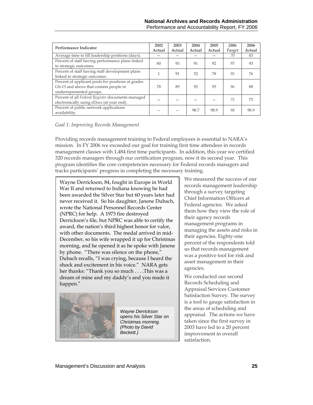| Performance Indicator                                                                                                    | 2002<br>Actual | 2003<br>Actual | 2004<br>Actual | 2005<br>Actual | 2006<br><b>Target</b> | 2006<br>Actual |
|--------------------------------------------------------------------------------------------------------------------------|----------------|----------------|----------------|----------------|-----------------------|----------------|
| Average time to fill leadership positions (days).                                                                        |                |                |                |                | 70                    | 43             |
| Percent of staff having performance plans linked<br>to strategic outcomes.                                               | 80             | 93             | 91             | 92             | 95                    | 93             |
| Percent of staff having staff development plans<br>linked to strategic outcomes.                                         | 1              | 91             | 52             | 78             | 95                    | 76             |
| Percent of applicant pools for positions at grades<br>GS-13 and above that contain people in<br>underrepresented groups. | 78             | 89             | 92             | 95             | 96                    | 88             |
| Percent of all Federal Register documents managed<br>electronically using eDocs (at year end).                           |                |                |                |                | 75                    | 75             |
| Percent of public network applications<br>availability.                                                                  |                |                | 98.7           | 98.9           | 98                    | 98.9           |

#### *Goal 1: Improving Records Management*

Providing records management training to Federal employees is essential to NARA's mission. In FY 2006 we exceeded our goal for training first time attendees in records management classes with 1,484 first time participants. In addition, this year we certified 320 records managers through our certification program, now it its second year. This program identifies the core competencies necessary for Federal records managers and tracks participants' progress in completing the necessary training.

Wayne Derrickson, 84, fought in Europe in World War II and returned to Indiana knowing he had been awarded the Silver Star but 60 years later had never received it. So his daughter, Janene Dubach, wrote the National Personnel Records Center (NPRC) for help. A 1973 fire destroyed Derrickson's file, but NPRC was able to certify the award, the nation's third highest honor for valor, with other documents. The medal arrived in mid-December, so his wife wrapped it up for Christmas morning, and he opened it as he spoke with Janene by phone. "There was silence on the phone," Dubach recalls, "I was crying, because I heard the shock and excitement in his voice." NARA gets her thanks: "Thank you so much . . . .This was a dream of mine and my daddy's and you made it happen."



*Wayne Derrickson opens his Silver Star on Christmas morning. (Photo by David Beckett.)* 

We measured the success of our records management leadership through a survey targeting Chief Information Officers at Federal agencies. We asked them how they view the role of their agency records management programs in managing the assets and risks in their agencies. Eighty-one percent of the respondents told us that records management was a positive tool for risk and asset management in their agencies.

We conducted our second Records Scheduling and Appraisal Services Customer Satisfaction Survey. The survey is a tool to gauge satisfaction in the areas of scheduling and appraisal. The actions we have taken since the first survey in 2003 have led to a 20 percent improvement in overall satisfaction.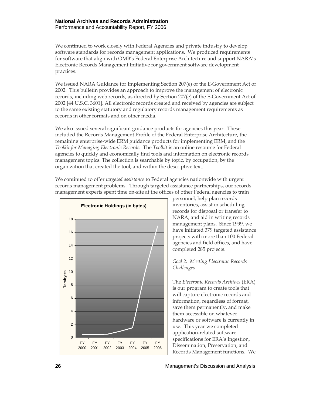We continued to work closely with Federal Agencies and private industry to develop software standards for records management applications. We produced requirements for software that align with OMB's Federal Enterprise Architecture and support NARA's Electronic Records Management Initiative for government software development practices.

We issued NARA Guidance for Implementing Section 207(e) of the E-Government Act of 2002. This bulletin provides an approach to improve the management of electronic records, including web records, as directed by Section 207(e) of the E-Government Act of 2002 [44 U.S.C. 3601]. All electronic records created and received by agencies are subject to the same existing statutory and regulatory records management requirements as records in other formats and on other media.

We also issued several significant guidance products for agencies this year. These included the Records Management Profile of the Federal Enterprise Architecture, the remaining enterprise-wide ERM guidance products for implementing ERM, and the *Toolkit for Managing Electronic Records*. The *Toolkit* is an online resource for Federal agencies to quickly and economically find tools and information on electronic records management topics. The collection is searchable by topic, by occupation, by the organization that created the tool, and within the descriptive text.

We continued to offer *targeted assistance* to Federal agencies nationwide with urgent records management problems. Through targeted assistance partnerships, our records management experts spent time on-site at the offices of other Federal agencies to train



personnel, help plan records inventories, assist in scheduling records for disposal or transfer to NARA, and aid in writing records management plans. Since 1999, we have initiated 379 targeted assistance projects with more than 100 Federal agencies and field offices, and have completed 285 projects.

*Goal 2: Meeting Electronic Records Challenges*

The *Electronic Records Archives* (ERA) is our program to create tools that will capture electronic records and information, regardless of format, save them permanently, and make them accessible on whatever hardware or software is currently in use. This year we completed application-related software specifications for ERA's Ingestion, Dissemination, Preservation, and Records Management functions. We

Management's Discussion and Analysis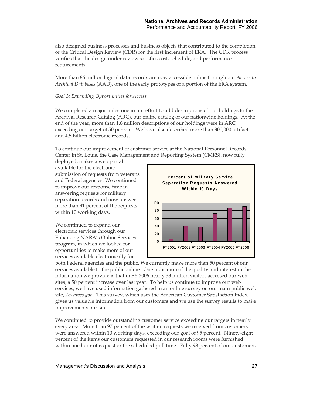also designed business processes and business objects that contributed to the completion of the Critical Design Review (CDR) for the first increment of ERA. The CDR process verifies that the design under review satisfies cost, schedule, and performance requirements.

More than 86 million logical data records are now accessible online through our *Access to Archival Databases* (AAD), one of the early prototypes of a portion of the ERA system.

#### *Goal 3: Expanding Opportunities for Access*

We completed a major milestone in our effort to add descriptions of our holdings to the Archival Research Catalog (ARC), our online catalog of our nationwide holdings. At the end of the year, more than 1.6 million descriptions of our holdings were in ARC, exceeding our target of 50 percent. We have also described more than 300,000 artifacts and 4.5 billion electronic records.

To continue our improvement of customer service at the National Personnel Records Center in St. Louis, the Case Management and Reporting System (CMRS), now fully

deployed, makes a web portal available for the electronic submission of requests from veterans and Federal agencies. We continued to improve our response time in answering requests for military separation records and now answer more than 91 percent of the requests within 10 working days.

We continued to expand our electronic services through our Enhancing NARA's Online Services program, in which we looked for opportunities to make more of our services available electronically for



both Federal agencies and the public. We currently make more than 50 percent of our services available to the public online. One indication of the quality and interest in the information we provide is that in FY 2006 nearly 33 million visitors accessed our web sites, a 50 percent increase over last year. To help us continue to improve our web services, we have used information gathered in an online survey on our main public web site, *Archives.gov*. This survey, which uses the American Customer Satisfaction Index, gives us valuable information from our customers and we use the survey results to make improvements our site.

We continued to provide outstanding customer service exceeding our targets in nearly every area. More than 97 percent of the written requests we received from customers were answered within 10 working days, exceeding our goal of 95 percent. Ninety-eight percent of the items our customers requested in our research rooms were furnished within one hour of request or the scheduled pull time. Fully 98 percent of our customers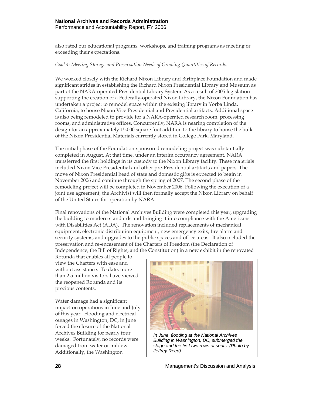also rated our educational programs, workshops, and training programs as meeting or exceeding their expectations.

#### *Goal 4: Meeting Storage and Preservation Needs of Growing Quantities of Records.*

We worked closely with the Richard Nixon Library and Birthplace Foundation and made significant strides in establishing the Richard Nixon Presidential Library and Museum as part of the NARA-operated Presidential Library System. As a result of 2005 legislation supporting the creation of a Federally-operated Nixon Library, the Nixon Foundation has undertaken a project to remodel space within the existing library in Yorba Linda, California, to house Nixon Vice Presidential and Presidential artifacts. Additional space is also being remodeled to provide for a NARA-operated research room, processing rooms, and administrative offices. Concurrently, NARA is nearing completion of the design for an approximately 15,000 square foot addition to the library to house the bulk of the Nixon Presidential Materials currently stored in College Park, Maryland.

The initial phase of the Foundation-sponsored remodeling project was substantially completed in August. At that time, under an interim occupancy agreement, NARA transferred the first holdings in its custody to the Nixon Library facility. These materials included Nixon Vice Presidential and other pre-Presidential artifacts and papers. The move of Nixon Presidential head of state and domestic gifts is expected to begin in November 2006 and continue through the spring of 2007. The second phase of the remodeling project will be completed in November 2006. Following the execution of a joint use agreement, the Archivist will then formally accept the Nixon Library on behalf of the United States for operation by NARA.

Final renovations of the National Archives Building were completed this year, upgrading the building to modern standards and bringing it into compliance with the Americans with Disabilities Act (ADA). The renovation included replacements of mechanical equipment, electronic distribution equipment, new emergency exits, fire alarm and security systems, and upgrades to the public spaces and office areas. It also included the preservation and re-encasement of the Charters of Freedom (the Declaration of Independence, the Bill of Rights, and the Constitution) in a new exhibit in the renovated

Rotunda that enables all people to view the Charters with ease and without assistance. To date, more than 2.5 million visitors have viewed the reopened Rotunda and its precious contents.

Water damage had a significant impact on operations in June and July of this year. Flooding and electrical outages in Washington, DC, in June forced the closure of the National Archives Building for nearly four weeks. Fortunately, no records were damaged from water or mildew. Additionally, the Washington



*In June, flooding at the National Archives Building in Washington, DC, submerged the stage and the first two rows of seats. (Photo by Jeffrey Reed)*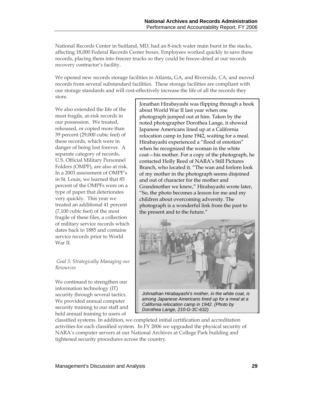National Records Center in Suitland, MD, had an 8-inch water main burst in the stacks, affecting 18,000 Federal Records Center boxes. Employees worked quickly to save these records, placing them into freezer trucks so they could be freeze-dried at our records recovery contractor's facility.

We opened new records storage facilities in Atlanta, GA, and Riverside, CA, and moved records from several substandard facilities. These storage facilities are compliant with our storage standards and will cost-effectively increase the life of all the records they store.

We also extended the life of the most fragile, at-risk records in our possession. We treated, rehoused, or copied more than 39 percent (29,000 cubic feet) of these records, which were in danger of being lost forever. A separate category of records, U.S. Official Military Personnel Folders (OMPF), are also at risk. In a 2003 assessment of OMPF's in St. Louis, we learned that 85 percent of the OMPFs were on a type of paper that deteriorates very quickly. This year we treated an additional 41 percent (7,100 cubic feet) of the most fragile of these files, a collection of military service records which dates back to 1885 and contains service records prior to World War II.

#### *Goal 5: Strategically Managing our Resources*

We continued to strengthen our information technology (IT) security through several tactics. We provided annual computer security training to our staff and held annual training to users of

Jonathan Hirabayashi was flipping through a book about World War II last year when one photograph jumped out at him. Taken by the noted photographer Dorothea Lange, it showed Japanese Americans lined up at a California relocation camp in June 1942, waiting for a meal. Hirabayashi experienced a "flood of emotion" when he recognized the woman in the white coat—his mother. For a copy of the photograph, he contacted Holly Reed of NARA's Still Pictures Branch, who located it. "The wan and forlorn look of my mother in the photograph seems disjoined and out of character for the mother and Grandmother we knew," Hirabayashi wrote later, "So, the photo becomes a lesson for me and my children about overcoming adversity. The photograph is a wonderful link from the past to the present and to the future."



*Johnathan Hirabayashi's mother, in the white coat, is among Japanese Americans lined up for a meal at a California relocation camp in 1942. (Photo by Dorothea Lange, 210-G-3C-632)*

classified systems. In addition, we completed initial certification and accreditation activities for each classified system. In FY 2006 we upgraded the physical security of NARA's computer servers at our National Archives at College Park building and tightened security procedures across the country.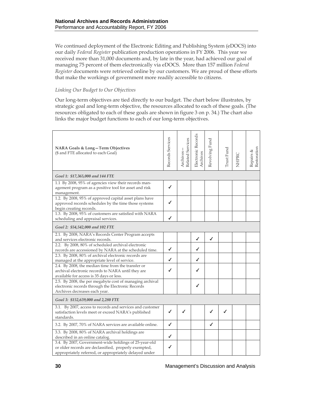We continued deployment of the Electronic Editing and Publishing System (eDOCS) into our daily *Federal Register* publication production operations in FY 2006. This year we received more than 31,000 documents and, by late in the year, had achieved our goal of managing 75 percent of them electronically via eDOCS. More than 157 million *Federal Register* documents were retrieved online by our customers. We are proud of these efforts that make the workings of government more readily accessible to citizens.

### *Linking Our Budget to Our Objectives*

Our long-term objectives are tied directly to our budget. The chart below illustrates, by strategic goal and long-term objective, the resources allocated to each of these goals. (The resources obligated to each of these goals are shown in figure 3 on p. 34.) The chart also links the major budget functions to each of our long-term objectives.

| NARA Goals & Long-Term Objectives<br>(\$ and FTE allocated to each Goal)                                                                                                 | Records Services | Related Services<br>Archives- | Electronic Records<br>Archives | Revolving Fund | Trust Fund | NHPRC | Repairs &<br>Restoration |
|--------------------------------------------------------------------------------------------------------------------------------------------------------------------------|------------------|-------------------------------|--------------------------------|----------------|------------|-------|--------------------------|
| Goal 1: \$17,365,000 and 144 FTE                                                                                                                                         |                  |                               |                                |                |            |       |                          |
| 1.1 By 2008, 95% of agencies view their records man-<br>agement program as a positive tool for asset and risk<br>management.                                             | ✔                |                               |                                |                |            |       |                          |
| 1.2. By 2008, 95% of approved capital asset plans have<br>approved records schedules by the time those systems<br>begin creating records.                                |                  |                               |                                |                |            |       |                          |
| 1.3. By 2008, 95% of customers are satisfied with NARA<br>scheduling and appraisal services.                                                                             | ✔                |                               |                                |                |            |       |                          |
| Goal 2: \$54,542,000 and 102 FTE                                                                                                                                         |                  |                               |                                |                |            |       |                          |
| 2.1. By 2008, NARA's Records Center Program accepts<br>and services electronic records.                                                                                  |                  |                               | ✔                              | ✔              |            |       |                          |
| 2.2. By 2008, 80% of scheduled archival electronic<br>records are accessioned by NARA at the scheduled time.                                                             | ✔                |                               | ✔                              |                |            |       |                          |
| 2.3. By 2008, 80% of archival electronic records are<br>managed at the appropriate level of service.                                                                     | ✔                |                               | ✔                              |                |            |       |                          |
| 2.4. By 2008, the median time from the transfer or<br>archival electronic records to NARA until they are<br>available for access is 35 days or less.                     | ✔                |                               |                                |                |            |       |                          |
| 2.5. By 2008, the per megabyte cost of managing archival<br>electronic records through the Electronic Records<br>Archives decreases each year.                           |                  |                               | ✔                              |                |            |       |                          |
| Goal 3: \$152,639,000 and 2,280 FTE                                                                                                                                      |                  |                               |                                |                |            |       |                          |
| 3.1. By 2007, access to records and services and customer<br>satisfaction levels meet or exceed NARA's published<br>standards.                                           | ✔                |                               |                                |                |            |       |                          |
| 3.2. By 2007, 70% of NARA services are available online.                                                                                                                 | ✔                |                               |                                | ✔              |            |       |                          |
| 3.3. By 2008, 80% of NARA archival holdings are<br>described in an online catalog.                                                                                       | ✔                |                               |                                |                |            |       |                          |
| 3.4. By 2007, Government-wide holdings of 25-year-old<br>or older records are declassified, properly exempted,<br>appropriately referred, or appropriately delayed under | ✔                |                               |                                |                |            |       |                          |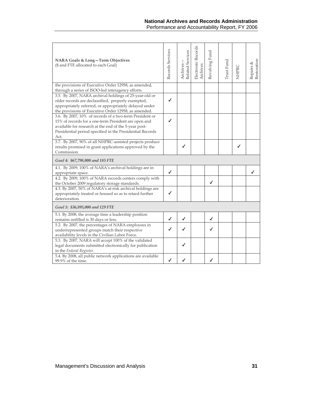| NARA Goals & Long-Term Objectives<br>(\$ and FTE allocated to each Goal)                                                                                                                                                                      | Records Services | Related Services<br>Archives. | Electronic Records<br>Archives | Revolving Fund | Trust Fund | NHPRC | Restoration<br>Repairs & |
|-----------------------------------------------------------------------------------------------------------------------------------------------------------------------------------------------------------------------------------------------|------------------|-------------------------------|--------------------------------|----------------|------------|-------|--------------------------|
| the provisions of Executive Order 12958, as amended,<br>through a series of ISOO-led interagency efforts.                                                                                                                                     |                  |                               |                                |                |            |       |                          |
| 3.5. By 2007, NARA archival holdings of 25-year-old or<br>older records are declassified, properly exempted,<br>appropriately referred, or appropriately delayed under<br>the provisions of Executive Order 12958, as amended.                | $\checkmark$     |                               |                                |                |            |       |                          |
| 3.6. By 2007, 10% of records of a two-term President or<br>15% of records for a one-term President are open and<br>available for research at the end of the 5-year post-<br>Presidential period specified in the Presidential Records<br>Act. | ✔                |                               |                                |                |            |       |                          |
| 3.7. By 2007, 90% of all NHPRC-assisted projects produce<br>results promised in grant applications approved by the<br>Commission.                                                                                                             |                  | ✔                             |                                |                |            | ℐ     |                          |
| Goal 4: \$67,798,000 and 185 FTE                                                                                                                                                                                                              |                  |                               |                                |                |            |       |                          |
| 4.1. By 2009, 100% of NARA's archival holdings are in<br>appropriate space.                                                                                                                                                                   | ✔                |                               |                                |                |            |       |                          |
| 4.2. By 2009, 100% of NARA records centers comply with<br>the October 2009 regulatory storage standards.                                                                                                                                      |                  |                               |                                | ✔              |            |       |                          |
| 4.3. By 2007, 50% of NARA's at-risk archival holdings are<br>appropriately treated or housed so as to retard further<br>deterioration.                                                                                                        | ✔                |                               |                                |                |            |       |                          |
| Goal 5: \$36,895,000 and 129 FTE                                                                                                                                                                                                              |                  |                               |                                |                |            |       |                          |
| 5.1. By 2008, the average time a leadership position<br>remains unfilled is 30 days or less.                                                                                                                                                  | ✔                | ℐ                             |                                | ℐ              |            |       |                          |
| 5.2. By 2007, the percentages of NARA employees in<br>underrepresented groups match their respective<br>availability levels in the Civilian Labor Force.                                                                                      |                  |                               |                                | ✔              |            |       |                          |
| 5.3. By 2007, NARA will accept 100% of the validated<br>legal documents submitted electronically for publication<br>in the Federal Register.                                                                                                  |                  |                               |                                |                |            |       |                          |
| 5.4. By 2008, all public network applications are available<br>99.9% of the time.                                                                                                                                                             |                  |                               |                                |                |            |       |                          |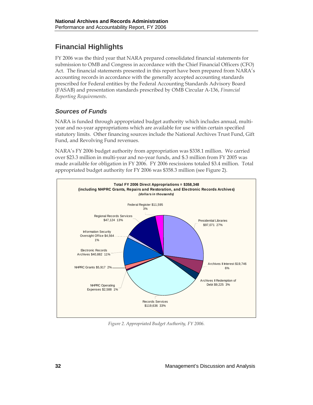# **Financial Highlights**

FY 2006 was the third year that NARA prepared consolidated financial statements for submission to OMB and Congress in accordance with the Chief Financial Officers (CFO) Act. The financial statements presented in this report have been prepared from NARA's accounting records in accordance with the generally accepted accounting standards prescribed for Federal entities by the Federal Accounting Standards Advisory Board (FASAB) and presentation standards prescribed by OMB Circular A-136, *Financial Reporting Requirements*.

## *Sources of Funds*

NARA is funded through appropriated budget authority which includes annual, multiyear and no-year appropriations which are available for use within certain specified statutory limits. Other financing sources include the National Archives Trust Fund, Gift Fund, and Revolving Fund revenues.

NARA's FY 2006 budget authority from appropriation was \$338.1 million. We carried over \$23.3 million in multi-year and no-year funds, and \$.3 million from FY 2005 was made available for obligation in FY 2006. FY 2006 rescissions totaled \$3.4 million. Total appropriated budget authority for FY 2006 was \$358.3 million (see Figure 2).



*Figure 2. Appropriated Budget Authority, FY 2006.*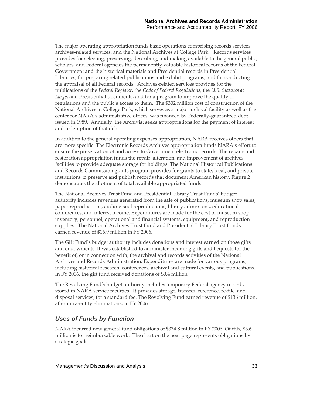The major operating appropriation funds basic operations comprising records services, archives-related services, and the National Archives at College Park. Records services provides for selecting, preserving, describing, and making available to the general public, scholars, and Federal agencies the permanently valuable historical records of the Federal Government and the historical materials and Presidential records in Presidential Libraries; for preparing related publications and exhibit programs; and for conducting the appraisal of all Federal records. Archives-related services provides for the publications of the *Federal Register*, the *Code of Federal Regulations*, the *U.S. Statutes at Large*, and Presidential documents, and for a program to improve the quality of regulations and the public's access to them. The \$302 million cost of construction of the National Archives at College Park, which serves as a major archival facility as well as the center for NARA's administrative offices, was financed by Federally-guaranteed debt issued in 1989. Annually, the Archivist seeks appropriations for the payment of interest and redemption of that debt.

In addition to the general operating expenses appropriation, NARA receives others that are more specific. The Electronic Records Archives appropriation funds NARA's effort to ensure the preservation of and access to Government electronic records. The repairs and restoration appropriation funds the repair, alteration, and improvement of archives facilities to provide adequate storage for holdings. The National Historical Publications and Records Commission grants program provides for grants to state, local, and private institutions to preserve and publish records that document American history. Figure 2 demonstrates the allotment of total available appropriated funds.

The National Archives Trust Fund and Presidential Library Trust Funds' budget authority includes revenues generated from the sale of publications, museum shop sales, paper reproductions, audio visual reproductions, library admissions, educational conferences, and interest income. Expenditures are made for the cost of museum shop inventory, personnel, operational and financial systems, equipment, and reproduction supplies. The National Archives Trust Fund and Presidential Library Trust Funds earned revenue of \$16.9 million in FY 2006.

The Gift Fund's budget authority includes donations and interest earned on those gifts and endowments. It was established to administer incoming gifts and bequests for the benefit of, or in connection with, the archival and records activities of the National Archives and Records Administration. Expenditures are made for various programs, including historical research, conferences, archival and cultural events, and publications. In FY 2006, the gift fund received donations of \$0.4 million.

The Revolving Fund's budget authority includes temporary Federal agency records stored in NARA service facilities. It provides storage, transfer, reference, re-file, and disposal services, for a standard fee. The Revolving Fund earned revenue of \$136 million, after intra-entity eliminations, in FY 2006.

## *Uses of Funds by Function*

NARA incurred new general fund obligations of \$334.8 million in FY 2006. Of this, \$3.6 million is for reimbursable work. The chart on the next page represents obligations by strategic goals.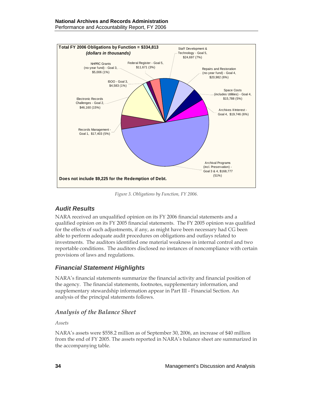

*Figure 3. Obligations by Function, FY 2006.* 

## *Audit Results*

NARA received an unqualified opinion on its FY 2006 financial statements and a qualified opinion on its FY 2005 financial statements. The FY 2005 opinion was qualified for the effects of such adjustments, if any, as might have been necessary had CG been able to perform adequate audit procedures on obligations and outlays related to investments. The auditors identified one material weakness in internal control and two reportable conditions. The auditors disclosed no instances of noncompliance with certain provisions of laws and regulations.

## *Financial Statement Highlights*

NARA's financial statements summarize the financial activity and financial position of the agency. The financial statements, footnotes, supplementary information, and supplementary stewardship information appear in Part III - Financial Section. An analysis of the principal statements follows.

## *Analysis of the Balance Sheet*

*Assets* 

NARA's assets were \$558.2 million as of September 30, 2006, an increase of \$40 million from the end of FY 2005. The assets reported in NARA's balance sheet are summarized in the accompanying table.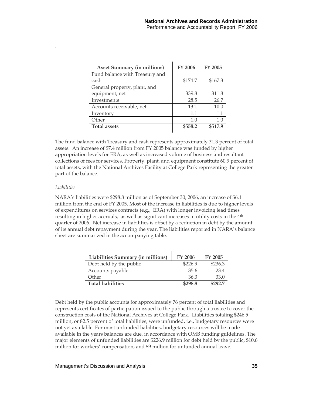| <b>Asset Summary (in millions)</b> | <b>FY 2006</b> | <b>FY 2005</b> |
|------------------------------------|----------------|----------------|
| Fund balance with Treasury and     |                |                |
| cash                               | \$174.7        | \$167.3        |
| General property, plant, and       |                |                |
| equipment, net                     | 339.8          | 311.8          |
| Investments                        | 28.5           | 26.7           |
| Accounts receivable, net           | 13.1           | 10.0           |
| Inventory                          | 1.1            | 1.1            |
| Other                              | 1.0            | 1.0            |
| <b>Total assets</b>                | \$558.2        | \$517.9        |

The fund balance with Treasury and cash represents approximately 31.3 percent of total assets. An increase of \$7.4 million from FY 2005 balance was funded by higher appropriation levels for ERA, as well as increased volume of business and resultant collections of fees for services. Property, plant, and equipment constitute 60.9 percent of total assets, with the National Archives Facility at College Park representing the greater part of the balance.

#### *Liabilities*

.

NARA's liabilities were \$298.8 million as of September 30, 2006, an increase of \$6.1 million from the end of FY 2005. Most of the increase in liabilities is due to higher levels of expenditures on services contracts (e.g., ERA) with longer invoicing lead times resulting in higher accruals, as well as significant increases in utility costs in the 4<sup>th</sup> quarter of 2006. Net increase in liabilities is offset by a reduction in debt by the amount of its annual debt repayment during the year. The liabilities reported in NARA's balance sheet are summarized in the accompanying table.

| Liabilities Summary (in millions) | <b>FY 2006</b> | <b>FY 2005</b> |
|-----------------------------------|----------------|----------------|
| Debt held by the public           | \$226.9        | \$236.3        |
| Accounts payable                  | 35.6           | 23.4           |
| Other                             | 36.3           | 33.0           |
| <b>Total liabilities</b>          | \$298.8        | \$292.7        |

Debt held by the public accounts for approximately 76 percent of total liabilities and represents certificates of participation issued to the public through a trustee to cover the construction costs of the National Archives at College Park. Liabilities totaling \$246.5 million, or 82.5 percent of total liabilities, were unfunded, i.e., budgetary resources were not yet available. For most unfunded liabilities, budgetary resources will be made available in the years balances are due, in accordance with OMB funding guidelines. The major elements of unfunded liabilities are \$226.9 million for debt held by the public, \$10.6 million for workers' compensation, and \$9 million for unfunded annual leave.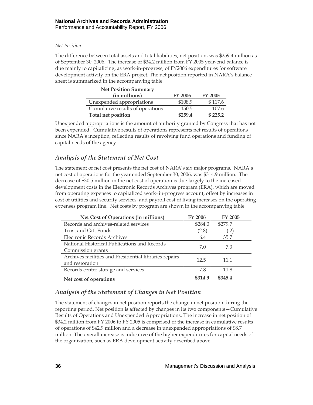#### *Net Position*

The difference between total assets and total liabilities, net position, was \$259.4 million as of September 30, 2006. The increase of \$34.2 million from FY 2005 year-end balance is due mainly to capitalizing, as work-in-progress, of FY2006 expenditures for software development activity on the ERA project. The net position reported in NARA's balance sheet is summarized in the accompanying table.

| <b>Net Position Summary</b>      |                |                |
|----------------------------------|----------------|----------------|
| (in millions)                    | <b>FY 2006</b> | <b>FY 2005</b> |
| Unexpended appropriations        | \$108.9        | \$117.6        |
| Cumulative results of operations | 150.5          | 107.6          |
| Total net position               | \$259.4        | \$225.2        |

Unexpended appropriations is the amount of authority granted by Congress that has not been expended. Cumulative results of operations represents net results of operations since NARA's inception, reflecting results of revolving fund operations and funding of capital needs of the agency

### *Analysis of the Statement of Net Cost*

The statement of net cost presents the net cost of NARA's six major programs. NARA's net cost of operations for the year ended September 30, 2006, was \$314.9 million. The decrease of \$30.5 million in the net cost of operation is due largely to the increased development costs in the Electronic Records Archives program (ERA), which are moved from operating expenses to capitalized work- in-progress account, offset by increases in cost of utilities and security services, and payroll cost of living increases on the operating expenses program line. Net costs by program are shown in the accompanying table.

| Net Cost of Operations (in millions)                                      | <b>FY 2006</b> | <b>FY 2005</b>     |
|---------------------------------------------------------------------------|----------------|--------------------|
| Records and archives-related services                                     | \$284.0        | \$279.7            |
| Trust and Gift Funds                                                      | (2.8)          | $\left( .2\right)$ |
| Electronic Records Archives                                               | 6.4            | 35.7               |
| National Historical Publications and Records<br>Commission grants         | 7.0            | 7.3                |
| Archives facilities and Presidential libraries repairs<br>and restoration | 12.5           | 11.1               |
| Records center storage and services                                       | 7.8            | 11.8               |
| Net cost of operations                                                    | \$314.9        | \$345.4            |

### *Analysis of the Statement of Changes in Net Position*

The statement of changes in net position reports the change in net position during the reporting period. Net position is affected by changes in its two components—Cumulative Results of Operations and Unexpended Appropriations. The increase in net position of \$34.2 million from FY 2006 to FY 2005 is comprised of the increase in cumulative results of operations of \$42.9 million and a decrease in unexpended appropriations of \$8.7 million. The overall increase is indicative of the higher expenditures for capital needs of the organization, such as ERA development activity described above.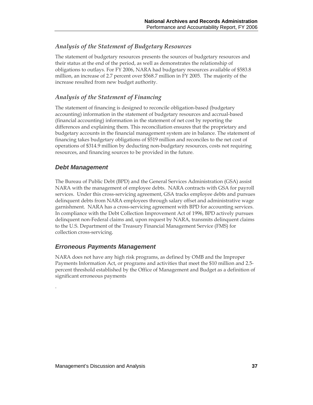### *Analysis of the Statement of Budgetary Resources*

The statement of budgetary resources presents the sources of budgetary resources and their status at the end of the period, as well as demonstrates the relationship of obligations to outlays. For FY 2006, NARA had budgetary resources available of \$583.8 million, an increase of 2.7 percent over \$568.7 million in FY 2005. The majority of the increase resulted from new budget authority.

### *Analysis of the Statement of Financing*

The statement of financing is designed to reconcile obligation-based (budgetary accounting) information in the statement of budgetary resources and accrual-based (financial accounting) information in the statement of net cost by reporting the differences and explaining them. This reconciliation ensures that the proprietary and budgetary accounts in the financial management system are in balance. The statement of financing takes budgetary obligations of \$519 million and reconciles to the net cost of operations of \$314.9 million by deducting non-budgetary resources, costs not requiring resources, and financing sources to be provided in the future.

### *Debt Management*

.

The Bureau of Public Debt (BPD) and the General Services Administration (GSA) assist NARA with the management of employee debts. NARA contracts with GSA for payroll services. Under this cross-servicing agreement, GSA tracks employee debts and pursues delinquent debts from NARA employees through salary offset and administrative wage garnishment. NARA has a cross-servicing agreement with BPD for accounting services. In compliance with the Debt Collection Improvement Act of 1996, BPD actively pursues delinquent non-Federal claims and, upon request by NARA, transmits delinquent claims to the U.S. Department of the Treasury Financial Management Service (FMS) for collection cross-servicing.

### *Erroneous Payments Management*

NARA does not have any high risk programs, as defined by OMB and the Improper Payments Information Act, or programs and activities that meet the \$10 million and 2.5 percent threshold established by the Office of Management and Budget as a definition of significant erroneous payments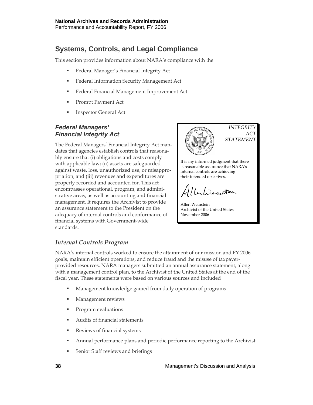# **Systems, Controls, and Legal Compliance**

This section provides information about NARA's compliance with the

- **Federal Manager's Financial Integrity Act**
- Federal Information Security Management Act
- **Federal Financial Management Improvement Act**
- **Prompt Payment Act**
- Inspector General Act

## *Federal Managers' Financial Integrity Act*

The Federal Managers' Financial Integrity Act mandates that agencies establish controls that reasonably ensure that (i) obligations and costs comply with applicable law; (ii) assets are safeguarded against waste, loss, unauthorized use, or misappropriation; and (iii) revenues and expenditures are properly recorded and accounted for. This act encompasses operational, program, and administrative areas, as well as accounting and financial management. It requires the Archivist to provide an assurance statement to the President on the adequacy of internal controls and conformance of financial systems with Government-wide standards.



It is my informed judgment that there is reasonable assurance that NARA's internal controls are achieving their intended objectives.

La Decretion

Allen Weinstein Archivist of the United States November 2006

## *Internal Controls Program*

NARA's internal controls worked to ensure the attainment of our mission and FY 2006 goals, maintain efficient operations, and reduce fraud and the misuse of taxpayerprovided resources. NARA managers submitted an annual assurance statement, along with a management control plan, to the Archivist of the United States at the end of the fiscal year. These statements were based on various sources and included

- Management knowledge gained from daily operation of programs
- Management reviews
- Program evaluations
- Audits of financial statements
- **Reviews of financial systems**
- Annual performance plans and periodic performance reporting to the Archivist
- **Senior Staff reviews and briefings**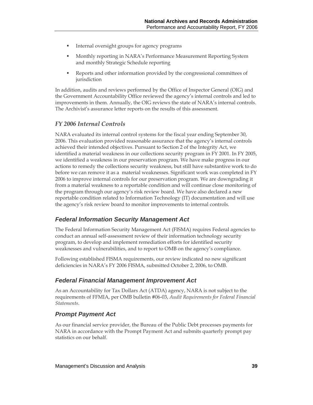- Internal oversight groups for agency programs
- Monthly reporting in NARA's Performance Measurement Reporting System and monthly Strategic Schedule reporting
- Reports and other information provided by the congressional committees of jurisdiction

In addition, audits and reviews performed by the Office of Inspector General (OIG) and the Government Accountability Office reviewed the agency's internal controls and led to improvements in them. Annually, the OIG reviews the state of NARA's internal controls. The Archivist's assurance letter reports on the results of this assessment.

### *FY 2006 Internal Controls*

NARA evaluated its internal control systems for the fiscal year ending September 30, 2006. This evaluation provided reasonable assurance that the agency's internal controls achieved their intended objectives. Pursuant to Section 2 of the Integrity Act, we identified a material weakness in our collections security program in FY 2001. In FY 2005, we identified a weakness in our preservation program. We have make progress in our actions to remedy the collections security weakness, but still have substantive work to do before we can remove it as a material weaknesses. Significant work was completed in FY 2006 to improve internal controls for our preservation program. We are downgrading it from a material weakness to a reportable condition and will continue close monitoring of the program through our agency's risk review board. We have also declared a new reportable condition related to Information Technology (IT) documentation and will use the agency's risk review board to monitor improvements to internal controls.

## *Federal Information Security Management Act*

The Federal Information Security Management Act (FISMA) requires Federal agencies to conduct an annual self-assessment review of their information technology security program, to develop and implement remediation efforts for identified security weaknesses and vulnerabilities, and to report to OMB on the agency's compliance.

Following established FISMA requirements, our review indicated no new significant deficiencies in NARA's FY 2006 FISMA, submitted October 2, 2006, to OMB.

### *Federal Financial Management Improvement Act*

As an Accountability for Tax Dollars Act (ATDA) agency, NARA is not subject to the requirements of FFMIA, per OMB bulletin #06-03, *Audit Requirements for Federal Financial Statements*.

### *Prompt Payment Act*

As our financial service provider, the Bureau of the Public Debt processes payments for NARA in accordance with the Prompt Payment Act and submits quarterly prompt pay statistics on our behalf.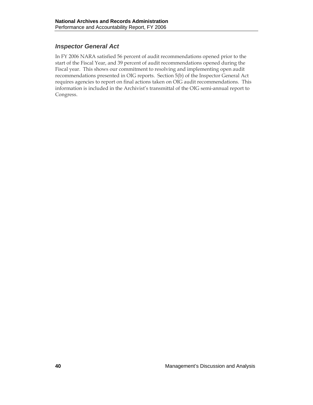## *Inspector General Act*

In FY 2006 NARA satisfied 56 percent of audit recommendations opened prior to the start of the Fiscal Year, and 39 percent of audit recommendations opened during the Fiscal year. This shows our commitment to resolving and implementing open audit recommendations presented in OIG reports. Section 5(b) of the Inspector General Act requires agencies to report on final actions taken on OIG audit recommendations. This information is included in the Archivist's transmittal of the OIG semi-annual report to Congress.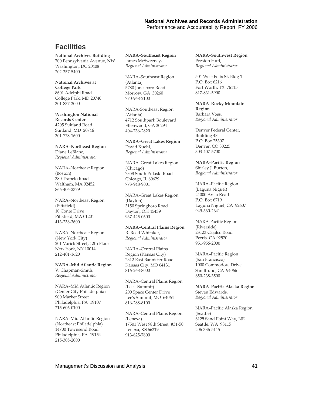# **Facilities**

**National Archives Building**  700 Pennsylvania Avenue, NW Washington, DC 20408 202-357-5400

**National Archives at College Park**  8601 Adelphi Road College Park, MD 20740 301-837-2000

**Washington National Records Center**  4205 Suitland Road Suitland, MD 20746 301-778-1600

**NARA–Northeast Region**  Diane LeBlanc, *Regional Administrator* 

NARA–Northeast Region (Boston) 380 Trapelo Road Waltham, MA 02452 866-406-2379

NARA–Northeast Region (Pittsfield) 10 Conte Drive Pittsfield, MA 01201 413-236-3600

NARA–Northeast Region (New York City) 201 Varick Street, 12th Floor New York, NY 10014 212-401-1620

#### **NARA–Mid Atlantic Region**

V. Chapman-Smith, *Regional Administrator*

NARA–Mid Atlantic Region (Center City Philadelphia) 900 Market Street Philadelphia, PA 19107 215-606-0100

NARA–Mid Atlantic Region (Northeast Philadelphia) 14700 Townsend Road Philadelphia, PA 19154 215-305-2000

**NARA–Southeast Region**  James McSweeney, *Regional Administrator*

NARA–Southeast Region (Atlanta) 5780 Jonesboro Road Morrow, GA 30260 770-968-2100

NARA-Southeast Region (Atlanta) 4712 Southpark Boulevard Ellenwood, GA 30294 404-736-2820

**NARA–Great Lakes Region**  David Kuehl, *Regional Administrator* 

NARA–Great Lakes Region (Chicago) 7358 South Pulaski Road Chicago, IL 60629 773-948-9001

NARA–Great Lakes Region (Dayton) 3150 Springboro Road Dayton, OH 45439 937-425-0600

**NARA–Central Plains Region**  R. Reed Whitaker, *Regional Administrator*

NARA–Central Plains Region (Kansas City) 2312 East Bannister Road Kansas City, MO 64131 816-268-8000

NARA–Central Plains Region (Lee's Summit) 200 Space Center Drive Lee's Summit, MO 64064 816-288-8100

NARA–Central Plains Region (Lenexa) 17501 West 98th Street, #31-50 Lenexa, KS 66219 913-825-7800

**NARA–Southwest Region**  Preston Huff, *Regional Administrator* 

501 West Felix St, Bldg 1 P.O. Box 6216 Fort Worth, TX 76115 817-831-5900

**NARA–Rocky Mountain Region**  Barbara Voss, *Regional Administrator* 

Denver Federal Center, Building 48 P.O. Box 25307 Denver, CO 80225 303-407-5700

**NARA–Pacific Region**  Shirley J. Burton, *Regional Administrator* 

NARA–Pacific Region (Laguna Niguel) 24000 Avila Road P.O. Box 6719 Laguna Niguel, CA 92607 949-360-2641

NARA-Pacific Region (Riverside) 23123 Cajalco Road Perris, CA 92570 951-956-2000

NARA–Pacific Region (San Francisco) 1000 Commodore Drive San Bruno, CA 94066 650-238-3500

**NARA–Pacific Alaska Region**  Steven Edwards, *Regional Administrator* 

NARA–Pacific Alaska Region (Seattle) 6125 Sand Point Way, NE Seattle, WA 98115 206-336-5115

Management's Discussion and Analysis **41**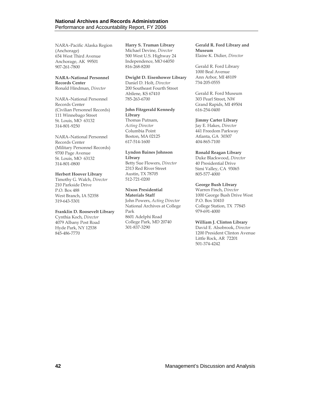NARA–Pacific Alaska Region (Anchorage) 654 West Third Avenue Anchorage, AK 99501 907-261-7800

### **NARA–National Personnel Records Center**

Ronald Hindman, *Director*

NARA–National Personnel Records Center (Civilian Personnel Records) 111 Winnebago Street St. Louis, MO 63132 314-801-9250

#### NARA–National Personnel Records Center

(Military Personnel Records) 9700 Page Avenue St. Louis, MO 63132 314-801-0800

#### **Herbert Hoover Library**

Timothy G. Walch, *Director* 210 Parkside Drive P.O. Box 488 West Branch, IA 52358 319-643-5301

#### **Franklin D. Roosevelt Library**

Cynthia Koch, *Director* 4079 Albany Post Road Hyde Park, NY 12538 845-486-7770

**Harry S. Truman Library**  Michael Devine, *Director* 500 West U.S. Highway 24 Independence, MO 64050 816-268-8200

#### **Dwight D. Eisenhower Library**

Daniel D. Holt, *Director* 200 Southeast Fourth Street Abilene, KS 67410 785-263-6700

### **John Fitzgerald Kennedy Library**

Thomas Putnam, *Acting Director*  Columbia Point Boston, MA 02125 617-514-1600

#### **Lyndon Baines Johnson Library**

Betty Sue Flowers, *Director* 2313 Red River Street Austin, TX 78705 512-721-0200

### **Nixon Presidential**

**Materials Staff**  John Powers, *Acting Director* National Archives at College Park 8601 Adelphi Road College Park, MD 20740 301-837-3290

**Gerald R. Ford Library and Museum** Elaine K. Didier, *Director*

Gerald R. Ford Library 1000 Beal Avenue Ann Arbor, MI 48109 734-205-0555

Gerald R. Ford Museum 303 Pearl Street, NW Grand Rapids, MI 49504 616-254-0400

#### **Jimmy Carter Library**

Jay E. Hakes, *Director* 441 Freedom Parkway Atlanta, GA 30307 404-865-7100

#### **Ronald Reagan Library**

Duke Blackwood, *Director* 40 Presidential Drive Simi Valley, CA 93065 805-577-4000

#### **George Bush Library**

Warren Finch, *Director* 1000 George Bush Drive West P.O. Box 10410 College Station, TX 77845 979-691-4000

#### **William J. Clinton Library**

David E. Alsobrook, *Director* 1200 President Clinton Avenue Little Rock, AR 72201 501-374-4242